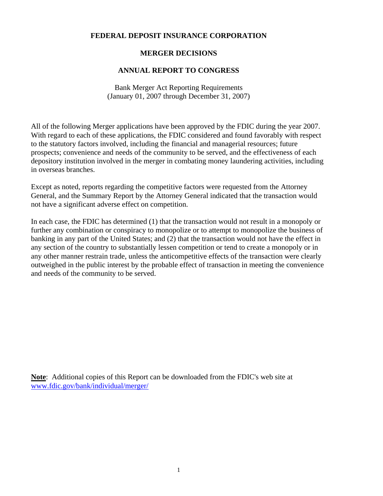# **FEDERAL DEPOSIT INSURANCE CORPORATION**

# **MERGER DECISIONS**

## **ANNUAL REPORT TO CONGRESS**

Bank Merger Act Reporting Requirements (January 01, 2007 through December 31, 2007)

All of the following Merger applications have been approved by the FDIC during the year 2007. With regard to each of these applications, the FDIC considered and found favorably with respect to the statutory factors involved, including the financial and managerial resources; future prospects; convenience and needs of the community to be served, and the effectiveness of each depository institution involved in the merger in combating money laundering activities, including in overseas branches.

Except as noted, reports regarding the competitive factors were requested from the Attorney General, and the Summary Report by the Attorney General indicated that the transaction would not have a significant adverse effect on competition.

In each case, the FDIC has determined (1) that the transaction would not result in a monopoly or further any combination or conspiracy to monopolize or to attempt to monopolize the business of banking in any part of the United States; and (2) that the transaction would not have the effect in any section of the country to substantially lessen competition or tend to create a monopoly or in any other manner restrain trade, unless the anticompetitive effects of the transaction were clearly outweighed in the public interest by the probable effect of transaction in meeting the convenience and needs of the community to be served.

**Note**: Additional copies of this Report can be downloaded from the FDIC's web site at [www.fdic.gov/bank/individual/merger/](http://www.fdic.gov/bank/individual/merger/)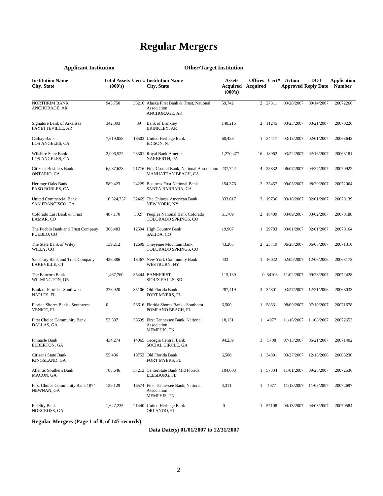# **Regular Mergers**

# **Applicant Institution Other/Target Institution**

| <b>Institution Name</b><br>City, State                | (000's)          |    | <b>Total Assets Cert # Institution Name</b><br>City, State                    | <b>Assets</b><br>Acquired<br>(000's) | Offices Cert#<br>Acquired |          | Action<br><b>Approved Reply Date</b> | <b>DOJ</b> | Application<br><b>Number</b> |
|-------------------------------------------------------|------------------|----|-------------------------------------------------------------------------------|--------------------------------------|---------------------------|----------|--------------------------------------|------------|------------------------------|
| <b>NORTHRIM BANK</b><br>ANCHORAGE, AK                 | 943,750          |    | 33216 Alaska First Bank & Trust, National<br>Association<br>ANCHORAGE, AK     | 59,742                               |                           | 2 27311  | 09/28/2007                           | 09/14/2007 | 20072266                     |
| Signature Bank of Arkansas<br><b>FAYETTEVILLE, AR</b> | 342,893          | 89 | <b>Bank of Brinkley</b><br>BRINKLEY, AR                                       | 140,215                              |                           | 2 11245  | 03/23/2007                           | 03/21/2007 | 20070226                     |
| Cathay Bank<br>LOS ANGELES, CA                        | 7,619,858        |    | 18503 United Heritage Bank<br>EDISON, NJ                                      | 60,428                               |                           | 1 34417  | 03/13/2007                           | 02/01/2007 | 20063642                     |
| Wilshire State Bank<br>LOS ANGELES, CA                | 2,006,522        |    | 23301 Royal Bank America<br>NARBERTH, PA                                      | 1,270,477                            |                           | 16 18962 | 03/22/2007                           | 02/16/2007 | 20063181                     |
| Citizens Business Bank<br>ONTARIO, CA                 | 6,087,628        |    | 21716 First Coastal Bank, National Association 237,742<br>MANHATTAN BEACH, CA |                                      |                           | 4 25832  | 06/07/2007                           | 04/27/2007 | 20070922                     |
| Heritage Oaks Bank<br>PASO ROBLES, CA                 | 589,423          |    | 24229 Business First National Bank<br>SANTA BARBARA, CA                       | 154,376                              |                           | 2 35457  | 09/05/2007                           | 08/29/2007 | 20072064                     |
| <b>United Commercial Bank</b><br>SAN FRANCISCO, CA    | 10,324,737       |    | 32469 The Chinese American Bank<br>NEW YORK, NY                               | 333,017                              |                           | 3 19736  | 03/16/2007                           | 02/01/2007 | 20070139                     |
| Colorado East Bank & Trust<br>LAMAR, CO               | 487,170          |    | 3027 Peoples National Bank Colorado<br>COLORADO SPRINGS, CO                   | 61,769                               |                           | 2 16409  | 03/09/2007                           | 03/02/2007 | 20070188                     |
| The Pueblo Bank and Trust Company<br>PUEBLO, CO       | 360,483          |    | 12594 High Country Bank<br>SALIDA, CO                                         | 19,907                               |                           | 1 29783  | 03/01/2007                           | 02/01/2007 | 20070164                     |
| The State Bank of Wiley<br>WILEY, CO                  | 139,212          |    | 12699 Cheyenne Mountain Bank<br>COLORADO SPRINGS, CO                          | 43,205                               |                           | 2 25719  | 06/28/2007                           | 06/05/2007 | 20071310                     |
| Salisbury Bank and Trust Company<br>LAKEVILLE, CT     | 426,386          |    | 18467 New York Community Bank<br>WESTBURY, NY                                 | 433                                  |                           | 1 16022  | 02/09/2007                           | 12/06/2006 | 20063175                     |
| The Bancorp Bank<br>WILMINGTON, DE                    | 1,467,760        |    | 35444 BANKFIRST<br>SIOUX FALLS, SD                                            | 115,139                              |                           | 0 34103  | 11/02/2007                           | 09/28/2007 | 20072428                     |
| Bank of Florida - Southwest<br>NAPLES, FL             | 378,920          |    | 35106 Old Florida Bank<br>FORT MYERS, FL                                      | 287,419                              |                           | 3 34801  | 03/27/2007                           | 12/21/2006 | 20063033                     |
| Florida Shores Bank - Southwest<br>VENICE, FL         | $\boldsymbol{0}$ |    | 58616 Florida Shores Bank - Southeast<br>POMPANO BEACH, FL                    | 6,500                                |                           | 1 58331  | 08/09/2007                           | 07/10/2007 | 20071678                     |
| First Choice Community Bank<br>DALLAS, GA             | 53,397           |    | 58539 First Tennessee Bank, National<br>Association<br>MEMPHIS, TN            | 18,131                               | $\mathbf{1}$              | 4977     | 11/16/2007                           | 11/08/2007 | 20072653                     |
| Pinnacle Bank<br><b>ELBERTON, GA</b>                  | 434,274          |    | 14065 Georgia Central Bank<br>SOCIAL CIRCLE, GA                               | 94,239                               | 3                         | 5708     | 07/13/2007                           | 06/21/2007 | 20071402                     |
| Citizens State Bank<br>KINGSLAND, GA                  | 55,406           |    | 19753 Old Florida Bank<br>FORT MYERS, FL                                      | 6,500                                |                           | 1 34801  | 03/27/2007                           | 12/18/2006 | 20063236                     |
| <b>Atlantic Southern Bank</b><br>MACON, GA            | 788,646          |    | 57213 CenterState Bank Mid Florida<br>LEESBURG, FL                            | 104,603                              |                           | 1 57334  | 11/01/2007                           | 09/28/2007 | 20072536                     |
| First Choice Community Bank 1874<br>NEWNAN, GA        | 159,129          |    | 16574 First Tennessee Bank, National<br>Association<br><b>MEMPHIS, TN</b>     | 3,311                                | $\mathbf{1}$              | 4977     | 11/13/2007                           | 11/08/2007 | 20072697                     |
| <b>Fidelity Bank</b><br>NORCROSS, GA                  | 1,647,235        |    | 21440 United Heritage Bank<br>ORLANDO, FL                                     | $\boldsymbol{0}$                     |                           | 1 57108  | 04/13/2007                           | 04/03/2007 | 20070584                     |

**Regular Mergers (Page 1 of 8, of 147 records)**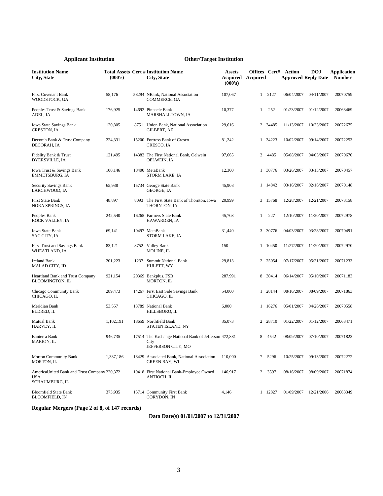| <b>Institution Name</b><br>City, State                                | (000's)   | <b>Total Assets Cert # Institution Name</b><br>City, State                          | <b>Assets</b><br><b>Acquired Acquired</b><br>(000's) | Offices Cert# |         | Action<br><b>Approved Reply Date</b> | <b>DOJ</b> | <b>Application</b><br><b>Number</b> |
|-----------------------------------------------------------------------|-----------|-------------------------------------------------------------------------------------|------------------------------------------------------|---------------|---------|--------------------------------------|------------|-------------------------------------|
| <b>First Covenant Bank</b><br>WOODSTOCK, GA                           | 58,176    | 58294 NBank, National Association<br>COMMERCE, GA                                   | 107,067                                              | $\mathbf{1}$  | 2127    | 06/04/2007                           | 04/11/2007 | 20070759                            |
| Peoples Trust & Savings Bank<br>ADEL, IA                              | 176,925   | 14692 Pinnacle Bank<br>MARSHALLTOWN, IA                                             | 10,377                                               | $\mathbf{1}$  | 252     | 01/23/2007                           | 01/12/2007 | 20063469                            |
| Iowa State Savings Bank<br><b>CRESTON, IA</b>                         | 120,805   | 8751 Union Bank, National Association<br><b>GILBERT, AZ</b>                         | 29,616                                               |               | 2 34485 | 11/13/2007                           | 10/23/2007 | 20072675                            |
| Decorah Bank & Trust Company<br>DECORAH, IA                           | 224,331   | 15200 Fortress Bank of Cresco<br>CRESCO, IA                                         | 81,242                                               |               | 1 34223 | 10/02/2007                           | 09/14/2007 | 20072253                            |
| Fidelity Bank & Trust<br>DYERSVILLE, IA                               | 121,495   | 14382 The First National Bank, Oelwein<br><b>OELWEIN, IA</b>                        | 97,665                                               | 2             | 4485    | 05/08/2007                           | 04/03/2007 | 20070670                            |
| Iowa Trust & Savings Bank<br><b>EMMETSBURG, IA</b>                    | 100,146   | 18400 MetaBank<br>STORM LAKE, IA                                                    | 12,300                                               |               | 1 30776 | 03/26/2007                           | 03/13/2007 | 20070457                            |
| Security Savings Bank<br>LARCHWOOD, IA                                | 65,938    | 15734 George State Bank<br>GEORGE, IA                                               | 45,903                                               |               | 1 14842 | 03/16/2007                           | 02/16/2007 | 20070148                            |
| <b>First State Bank</b><br>NORA SPRINGS, IA                           | 48,897    | 8093 The First State Bank of Thornton, Iowa<br>THORNTON, IA                         | 20,999                                               |               | 3 15768 | 12/28/2007                           | 12/21/2007 | 20073158                            |
| Peoples Bank<br>ROCK VALLEY, IA                                       | 242,540   | 16265 Farmers State Bank<br>HAWARDEN, IA                                            | 45,703                                               | $\mathbf{1}$  | 227     | 12/10/2007                           | 11/20/2007 | 20072978                            |
| <b>Iowa State Bank</b><br>SAC CITY, IA                                | 69,141    | 10497 MetaBank<br>STORM LAKE, IA                                                    | 31,440                                               |               | 3 30776 | 04/03/2007                           | 03/28/2007 | 20070491                            |
| First Trust and Savings Bank<br>WHEATLAND, IA                         | 83,121    | 8752 Valley Bank<br>MOLINE, IL                                                      | 150                                                  |               | 1 10450 | 11/27/2007                           | 11/20/2007 | 20072970                            |
| <b>Ireland Bank</b><br>MALAD CITY, ID                                 | 201,223   | 1237 Summit National Bank<br>HULETT, WY                                             | 29,813                                               |               | 2 25054 | 07/17/2007                           | 05/21/2007 | 20071233                            |
| Heartland Bank and Trust Company<br><b>BLOOMINGTON, IL</b>            | 921,154   | 20369 Bankplus, FSB<br>MORTON, IL                                                   | 287,991                                              |               | 8 30414 | 06/14/2007                           | 05/10/2007 | 20071183                            |
| Chicago Community Bank<br>CHICAGO, IL                                 | 289,473   | 14267 First East Side Savings Bank<br>CHICAGO, IL                                   | 54,000                                               |               | 1 28144 | 08/16/2007                           | 08/09/2007 | 20071863                            |
| Meridian Bank<br>ELDRED, IL                                           | 53,557    | 13789 National Bank<br>HILLSBORO, IL                                                | 6,000                                                |               | 1 16276 | 05/01/2007                           | 04/26/2007 | 20070558                            |
| Mutual Bank<br>HARVEY, IL                                             | 1,102,191 | 18659 Northfield Bank<br>STATEN ISLAND, NY                                          | 35,073                                               |               | 2 28710 | 01/22/2007                           | 01/12/2007 | 20063471                            |
| Banterra Bank<br>MARION, IL                                           | 946.735   | 17514 The Exchange National Bank of Jefferson 472,881<br>City<br>JEFFERSON CITY, MO |                                                      | 8             | 4542    | 08/09/2007                           | 07/10/2007 | 20071823                            |
| <b>Morton Community Bank</b><br>MORTON, IL                            | 1,387,186 | 18429 Associated Bank, National Association<br>GREEN BAY, WI                        | 110,000                                              | 7             | 5296    | 10/25/2007                           | 09/13/2007 | 20072272                            |
| AmericaUnited Bank and Trust Company 220,372<br>USA<br>SCHAUMBURG, IL |           | 19418 First National Bank-Employee Owned<br>ANTIOCH, IL                             | 146,917                                              | $\mathbf{2}$  | 3597    | 08/16/2007                           | 08/09/2007 | 20071874                            |
| <b>Bloomfield State Bank</b><br><b>BLOOMFIELD, IN</b>                 | 373,935   | 15714 Community First Bank<br>CORYDON, IN                                           | 4,146                                                |               | 1 12827 | 01/09/2007                           | 12/21/2006 | 20063349                            |

# **Regular Mergers (Page 2 of 8, of 147 records)**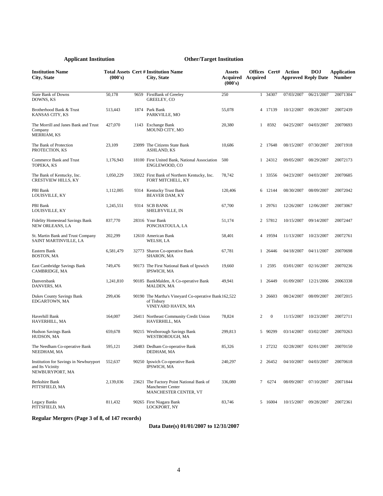| <b>Institution Name</b><br><b>City, State</b>                                 | (000's)   |       | <b>Total Assets Cert # Institution Name</b><br>City, State                                | <b>Assets</b><br>Acquired<br>(000's) | Offices Cert#<br>Acquired |              | Action     | <b>DOJ</b><br><b>Approved Reply Date</b> | Application<br><b>Number</b> |
|-------------------------------------------------------------------------------|-----------|-------|-------------------------------------------------------------------------------------------|--------------------------------------|---------------------------|--------------|------------|------------------------------------------|------------------------------|
| <b>State Bank of Downs</b><br>DOWNS, KS                                       | 50,178    | 9659  | FirstBank of Greeley<br><b>GREELEY, CO</b>                                                | 250                                  |                           | 1 34307      | 07/03/2007 | 06/21/2007                               | 20071304                     |
| Brotherhood Bank & Trust<br>KANSAS CITY, KS                                   | 513,443   |       | 1874 Park Bank<br>PARKVILLE, MO                                                           | 55,078                               |                           | 4 17139      | 10/12/2007 | 09/28/2007                               | 20072439                     |
| The Morrill and Janes Bank and Trust<br>Company<br>MERRIAM, KS                | 427,070   |       | 1143 Exchange Bank<br>MOUND CITY, MO                                                      | 20,380                               | 1                         | 8592         | 04/25/2007 | 04/03/2007                               | 20070693                     |
| The Bank of Protection<br>PROTECTION, KS                                      | 23,109    |       | 23099 The Citizens State Bank<br>ASHLAND, KS                                              | 10,686                               |                           | 2 17648      | 08/15/2007 | 07/30/2007                               | 20071918                     |
| Commerce Bank and Trust<br>TOPEKA, KS                                         | 1,176,943 |       | 18100 First United Bank, National Association<br>ENGLEWOOD, CO                            | 500                                  |                           | 1 24312      | 09/05/2007 | 08/29/2007                               | 20072173                     |
| The Bank of Kentucky, Inc.<br><b>CRESTVIEW HILLS, KY</b>                      | 1,050,229 |       | 33022 First Bank of Northern Kentucky, Inc.<br>FORT MITCHELL, KY                          | 78,742                               |                           | 1 33556      | 04/23/2007 | 04/03/2007                               | 20070685                     |
| PBI Bank<br>LOUISVILLE, KY                                                    | 1,112,005 |       | 9314 Kentucky Trust Bank<br><b>BEAVER DAM, KY</b>                                         | 120,406                              |                           | 6 12144      | 08/30/2007 | 08/09/2007                               | 20072042                     |
| PBI Bank<br>LOUISVILLE, KY                                                    | 1,245,551 |       | 9314 SCB BANK<br>SHELBYVILLE, IN                                                          | 67,700                               |                           | 1 29761      | 12/26/2007 | 12/06/2007                               | 20073067                     |
| <b>Fidelity Homestead Savings Bank</b><br>NEW ORLEANS, LA                     | 837,770   |       | 28316 Your Bank<br>PONCHATOULA, LA                                                        | 51,174                               |                           | 2 57812      | 10/15/2007 | 09/14/2007                               | 20072447                     |
| St. Martin Bank and Trust Company<br>SAINT MARTINVILLE, LA                    | 202,299   |       | 12610 American Bank<br>WELSH, LA                                                          | 58,401                               |                           | 4 19594      | 11/13/2007 | 10/23/2007                               | 20072761                     |
| Eastern Bank<br><b>BOSTON, MA</b>                                             | 6,581,479 |       | 32773 Sharon Co-operative Bank<br>SHARON, MA                                              | 67,781                               |                           | 1 26446      | 04/18/2007 | 04/11/2007                               | 20070698                     |
| East Cambridge Savings Bank<br>CAMBRIDGE, MA                                  | 749,476   |       | 90173 The First National Bank of Ipswich<br>IPSWICH, MA                                   | 19,660                               | 1                         | 2595         | 03/01/2007 | 02/16/2007                               | 20070236                     |
| Danversbank<br>DANVERS, MA                                                    | 1,241,810 |       | 90185 BankMalden, A Co-operative Bank<br>MALDEN, MA                                       | 49,941                               |                           | 1 26449      | 01/09/2007 | 12/21/2006                               | 20063338                     |
| Dukes County Savings Bank<br>EDGARTOWN, MA                                    | 299,436   |       | 90190 The Martha's Vineyard Co-operative Bank 162,522<br>of Tisbury<br>VINEYARD HAVEN, MA |                                      |                           | 3 26603      | 08/24/2007 | 08/09/2007                               | 20072015                     |
| Haverhill Bank<br>HAVERHILL, MA                                               | 164,007   |       | 26411 Northeast Community Credit Union<br>HAVERHILL, MA                                   | 78,824                               | 2                         | $\mathbf{0}$ | 11/15/2007 | 10/23/2007                               | 20072711                     |
| <b>Hudson Savings Bank</b><br>HUDSON, MA                                      | 659,678   |       | 90215 Westborough Savings Bank<br>WESTBOROUGH, MA                                         | 299,813                              |                           | 5 90299      | 03/14/2007 | 03/02/2007                               | 20070263                     |
| The Needham Co-operative Bank<br>NEEDHAM, MA                                  | 595,121   |       | 26483 Dedham Co-operative Bank<br>DEDHAM, MA                                              | 85,326                               |                           | 1 27232      | 02/28/2007 | 02/01/2007                               | 20070150                     |
| Institution for Savings in Newburyport<br>and Its Vicinity<br>NEWBURYPORT, MA | 552,637   |       | 90250 Ipswich Co-operative Bank<br>IPSWICH, MA                                            | 240,297                              |                           | 2 26452      | 04/10/2007 | 04/03/2007                               | 20070618                     |
| Berkshire Bank<br>PITTSFIELD, MA                                              | 2,139,036 | 23621 | The Factory Point National Bank of<br>Manchester Center<br>MANCHESTER CENTER, VT          | 336,080                              | $\tau$                    | 6274         | 08/09/2007 | 07/10/2007                               | 20071844                     |
| Legacy Banks<br>PITTSFIELD, MA                                                | 811,432   |       | 90265 First Niagara Bank<br>LOCKPORT, NY                                                  | 83,746                               |                           | 5 16004      | 10/15/2007 | 09/28/2007                               | 20072361                     |

**Regular Mergers (Page 3 of 8, of 147 records)**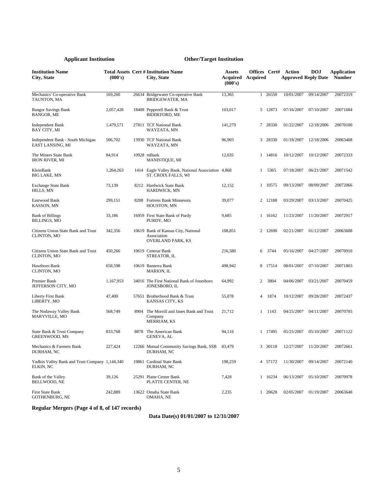| <b>Institution Name</b><br>City, State                      | (000's)   |      | Total Assets Cert # Institution Name<br>City, State                            | Assets<br>Acquired<br>(000's) | Offices Cert#<br>Acquired |         | Action     | <b>DOJ</b><br><b>Approved Reply Date</b> | Application<br><b>Number</b> |
|-------------------------------------------------------------|-----------|------|--------------------------------------------------------------------------------|-------------------------------|---------------------------|---------|------------|------------------------------------------|------------------------------|
| Mechanics' Co-operative Bank<br>TAUNTON, MA                 | 169,260   |      | 26634 Bridgewater Co-operative Bank<br><b>BRIDGEWATER, MA</b>                  | 13,365                        | $\mathbf{1}$              | 26550   | 10/01/2007 | 09/14/2007                               | 20072319                     |
| <b>Bangor Savings Bank</b><br><b>BANGOR, ME</b>             | 2,057,428 |      | 18408 Pepperell Bank & Trust<br><b>BIDDEFORD, ME</b>                           | 103,017                       |                           | 5 12873 | 07/16/2007 | 07/10/2007                               | 20071684                     |
| Independent Bank<br>BAY CITY, MI                            | 1,479,571 |      | 27811 TCF National Bank<br>WAYZATA, MN                                         | 141,279                       |                           | 7 28330 | 01/22/2007 | 12/18/2006                               | 20070100                     |
| Independent Bank - South Michigan<br>EAST LANSING, MI       | 506,702   |      | 13930 TCF National Bank<br>WAYZATA, MN                                         | 96,903                        |                           | 3 28330 | 01/18/2007 | 12/18/2006                               | 20063408                     |
| The Miners State Bank<br><b>IRON RIVER, MI</b>              | 84,914    |      | 10928 mBank<br><b>MANISTIQUE, MI</b>                                           | 12,035                        |                           | 1 14816 | 10/12/2007 | 10/12/2007                               | 20072333                     |
| KleinBank<br>BIG LAKE, MN                                   | 1,264,263 |      | 1414 Eagle Valley Bank, National Association 4,868<br>ST. CROIX FALLS, WI      |                               | $\mathbf{1}$              | 5365    | 07/18/2007 | 06/21/2007                               | 20071542                     |
| <b>Exchange State Bank</b><br>HILLS, MN                     | 73,139    |      | 8212 Hardwick State Bank<br><b>HARDWICK, MN</b>                                | 12,152                        |                           | 1 10575 | 09/13/2007 | 08/09/2007                               | 20072066                     |
| Eastwood Bank<br><b>KASSON, MN</b>                          | 299,151   |      | 8208 Fortress Bank Minnesota<br>HOUSTON, MN                                    | 39,077                        |                           | 2 12188 | 03/29/2007 | 03/13/2007                               | 20070425                     |
| <b>Bank of Billings</b><br><b>BILLINGS, MO</b>              | 33,186    |      | 16959 First State Bank of Purdy<br>PURDY, MO                                   | 9,685                         |                           | 1 16162 | 11/23/2007 | 11/20/2007                               | 20072917                     |
| Citizens Union State Bank and Trust<br>CLINTON, MO          | 342,356   |      | 10619 Bank of Kansas City, National<br>Association<br><b>OVERLAND PARK, KS</b> | 108,851                       |                           | 2 12690 | 02/21/2007 | 01/12/2007                               | 20063608                     |
| Citizens Union State Bank and Trust<br>CLINTON, MO          | 450,266   |      | 10619 Centrue Bank<br>STREATOR, IL                                             | 216,580                       | 6                         | 3744    | 05/16/2007 | 04/27/2007                               | 20070910                     |
| Hawthorn Bank<br>CLINTON, MO                                | 658,598   |      | 10619 Banterra Bank<br><b>MARION, IL</b>                                       | 498,942                       |                           | 8 17514 | 08/01/2007 | 07/10/2007                               | 20071803                     |
| Premier Bank<br>JEFFERSON CITY, MO                          | 1,167,953 |      | 34016 The First National Bank of Jonesboro<br>JONESBORO, IL                    | 64,992                        | 2                         | 3804    | 04/06/2007 | 03/21/2007                               | 20070459                     |
| Liberty First Bank<br>LIBERTY, MO                           | 47,400    |      | 57651 Brotherhood Bank & Trust<br>KANSAS CITY, KS                              | 55,078                        | 4                         | 1874    | 10/12/2007 | 09/28/2007                               | 20072437                     |
| The Nodaway Valley Bank<br>MARYVILLE, MO                    | 568,749   | 8904 | The Morrill and Janes Bank and Trust<br>Company<br>MERRIAM, KS                 | 21,712                        | 1                         | 1143    | 04/25/2007 | 04/11/2007                               | 20070705                     |
| State Bank & Trust Company<br><b>GREENWOOD, MS</b>          | 833,768   | 8878 | The American Bank<br>GENEVA, AL                                                | 94,116                        |                           | 1 17495 | 05/25/2007 | 05/10/2007                               | 20071122                     |
| Mechanics & Farmers Bank<br>DURHAM, NC                      | 227,424   |      | 12266 Mutual Community Savings Bank, SSB<br>DURHAM, NC                         | 83,479                        |                           | 3 30118 | 12/27/2007 | 11/20/2007                               | 20072661                     |
| Yadkin Valley Bank and Trust Company 1,144,340<br>ELKIN, NC |           |      | 19861 Cardinal State Bank<br>DURHAM, NC                                        | 198,259                       |                           | 4 57172 | 11/30/2007 | 09/14/2007                               | 20072140                     |
| Bank of the Valley<br>BELLWOOD, NE                          | 39,126    |      | 25291 Platte Center Bank<br>PLATTE CENTER, NE                                  | 7,428                         |                           | 1 16234 | 06/13/2007 | 05/10/2007                               | 20070978                     |
| First State Bank<br>GOTHENBURG, NE                          | 242,889   |      | 13622 Omaha State Bank<br>OMAHA, NE                                            | 2,235                         |                           | 1 20628 | 02/05/2007 | 01/19/2007                               | 20063648                     |

# **Regular Mergers (Page 4 of 8, of 147 records)**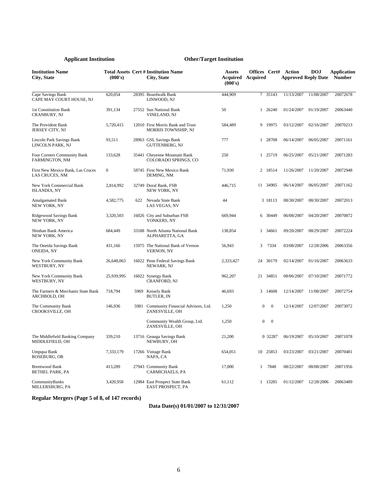| <b>Institution Name</b><br><b>City, State</b>       | (000's)      |      | <b>Total Assets Cert # Institution Name</b><br>City, State | <b>Assets</b><br><b>Acquired Acquired</b><br>(000's) | Offices Cert#  |              | Action     | DOJ<br><b>Approved Reply Date</b> | <b>Application</b><br><b>Number</b> |
|-----------------------------------------------------|--------------|------|------------------------------------------------------------|------------------------------------------------------|----------------|--------------|------------|-----------------------------------|-------------------------------------|
| Cape Savings Bank<br>CAPE MAY COURT HOUSE, NJ       | 620,054      |      | 28395 Boardwalk Bank<br>LINWOOD, NJ                        | 444,909                                              |                | 7 35143      | 11/13/2007 | 11/08/2007                        | 20072678                            |
| 1st Constitution Bank<br>CRANBURY, NJ               | 391,134      |      | 27552 Sun National Bank<br>VINELAND, NJ                    | 50                                                   |                | 1 26240      | 01/24/2007 | 01/19/2007                        | 20063440                            |
| The Provident Bank<br>JERSEY CITY, NJ               | 5,720,415    |      | 12010 First Morris Bank and Trust<br>MORRIS TOWNSHIP, NJ   | 584,489                                              |                | 9 19975      | 03/12/2007 | 02/16/2007                        | 20070213                            |
| Lincoln Park Savings Bank<br>LINCOLN PARK, NJ       | 93,511       |      | 28963 GSL Savings Bank<br><b>GUTTENBERG, NJ</b>            | 777                                                  |                | 1 28708      | 06/14/2007 | 06/05/2007                        | 20071161                            |
| Four Corners Community Bank<br>FARMINGTON, NM       | 133,628      |      | 35441 Cheyenne Mountain Bank<br>COLORADO SPRINGS, CO       | 250                                                  |                | 1 25719      | 06/25/2007 | 05/21/2007                        | 20071283                            |
| First New Mexico Bank, Las Cruces<br>LAS CRUCES, NM | $\mathbf{0}$ |      | 58745 First New Mexico Bank<br>DEMING, NM                  | 71,930                                               |                | 2 18514      | 11/26/2007 | 11/20/2007                        | 20072948                            |
| New York Commercial Bank<br><b>ISLANDIA, NY</b>     | 2,814,992    |      | 32749 Doral Bank, FSB<br><b>NEW YORK, NY</b>               | 446,715                                              |                | 11 34905     | 06/14/2007 | 06/05/2007                        | 20071162                            |
| <b>Amalgamated Bank</b><br>NEW YORK, NY             | 4,582,775    | 622  | Nevada State Bank<br>LAS VEGAS, NV                         | 44                                                   |                | 3 18113      | 08/30/2007 | 08/30/2007                        | 20072013                            |
| Ridgewood Savings Bank<br>NEW YORK, NY              | 3,320,503    |      | 16026 City and Suburban FSB<br>YONKERS, NY                 | 669,944                                              |                | 6 30449      | 06/08/2007 | 04/20/2007                        | 20070872                            |
| Shinhan Bank America<br>NEW YORK, NY                | 684,449      |      | 33188 North Atlanta National Bank<br>ALPHARETTA, GA        | 138,854                                              |                | 1 34661      | 09/20/2007 | 08/29/2007                        | 20072224                            |
| The Oneida Savings Bank<br>ONEIDA, NY               | 431,166      |      | 15975 The National Bank of Vernon<br><b>VERNON, NY</b>     | 56,943                                               | 3              | 7334         | 03/08/2007 | 12/28/2006                        | 20063356                            |
| New York Community Bank<br>WESTBURY, NY             | 26,648,063   |      | 16022 Penn Federal Savings Bank<br>NEWARK, NJ              | 2,333,427                                            | 24             | 30179        | 02/14/2007 | 01/16/2007                        | 20063633                            |
| New York Community Bank<br>WESTBURY, NY             | 25,939,995   |      | 16022 Synergy Bank<br>CRANFORD, NJ                         | 962,207                                              | 21             | 34851        | 08/06/2007 | 07/10/2007                        | 20071772                            |
| The Farmers & Merchants State Bank<br>ARCHBOLD, OH  | 718,794      | 5969 | Knisely Bank<br><b>BUTLER, IN</b>                          | 46,693                                               |                | 3 14608      | 12/14/2007 | 11/08/2007                        | 20072754                            |
| The Community Bank<br>CROOKSVILLE, OH               | 146,936      | 5981 | Community Financial Advisors, Ltd.<br>ZANESVILLE, OH       | 1,250                                                | $\overline{0}$ | $\mathbf{0}$ | 12/14/2007 | 12/07/2007                        | 20073072                            |
|                                                     |              |      | Community Wealth Group, Ltd.<br>ZANESVILLE, OH             | 1,250                                                | $\overline{0}$ | $\mathbf{0}$ |            |                                   |                                     |
| The Middlefield Banking Company<br>MIDDLEFIELD, OH  | 339,210      |      | 13716 Geauga Savings Bank<br>NEWBURY, OH                   | 21,200                                               |                | 0 32287      | 06/19/2007 | 05/10/2007                        | 20071078                            |
| Umpqua Bank<br>ROSEBURG, OR                         | 7,333,179    |      | 17266 Vintage Bank<br>NAPA, CA                             | 654,051                                              | 10             | 25853        | 03/23/2007 | 03/21/2007                        | 20070481                            |
| <b>Brentwood Bank</b><br><b>BETHEL PARK, PA</b>     | 413,289      |      | 27943 Community Bank<br>CARMICHAELS, PA                    | 17,000                                               | 1              | 7848         | 08/22/2007 | 08/08/2007                        | 20071956                            |
| CommunityBanks<br>MILLERSBURG, PA                   | 3,420,958    |      | 12984 East Prospect State Bank<br>EAST PROSPECT, PA        | 61,112                                               |                | 1 13285      |            | 01/12/2007 12/28/2006             | 20063489                            |

**Regular Mergers (Page 5 of 8, of 147 records)**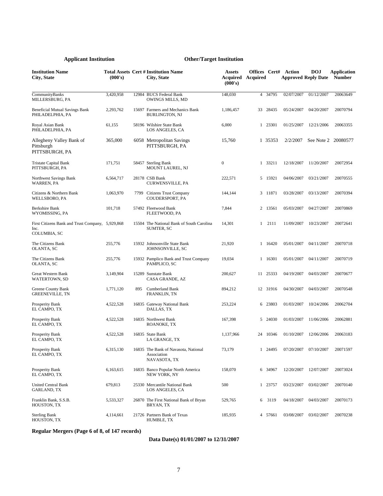| <b>Institution Name</b><br>City, State                                   | (000's)   |     | <b>Total Assets Cert # Institution Name</b><br>City, State          | <b>Assets</b><br><b>Acquired Acquired</b><br>(000's) | Offices Cert# |          | Action     | <b>DOJ</b><br><b>Approved Reply Date</b> | Application<br><b>Number</b> |
|--------------------------------------------------------------------------|-----------|-----|---------------------------------------------------------------------|------------------------------------------------------|---------------|----------|------------|------------------------------------------|------------------------------|
| CommunityBanks<br>MILLERSBURG, PA                                        | 3,420,958 |     | 12984 BUCS Federal Bank<br>OWINGS MILLS, MD                         | 148,030                                              |               | 4 34795  | 02/07/2007 | 01/12/2007                               | 20063649                     |
| Beneficial Mutual Savings Bank<br>PHILADELPHIA, PA                       | 2,293,762 |     | 15697 Farmers and Mechanics Bank<br><b>BURLINGTON, NJ</b>           | 1,186,457                                            |               | 33 28435 | 05/24/2007 | 04/20/2007                               | 20070794                     |
| Royal Asian Bank<br>PHILADELPHIA, PA                                     | 61,155    |     | 58196 Wilshire State Bank<br>LOS ANGELES, CA                        | 6,000                                                |               | 1 23301  | 01/25/2007 | 12/21/2006                               | 20063355                     |
| Allegheny Valley Bank of<br>Pittsburgh<br>PITTSBURGH, PA                 | 365,000   |     | 6058 Metropolitan Savings<br>PITTSBURGH, PA                         | 15,760                                               |               | 1 35353  | 2/2/2007   |                                          | See Note 2 20080577          |
| <b>Tristate Capital Bank</b><br>PITTSBURGH, PA                           | 171,751   |     | 58457 Sterling Bank<br>MOUNT LAUREL, NJ                             | $\boldsymbol{0}$                                     |               | 1 33211  | 12/18/2007 | 11/20/2007                               | 20072954                     |
| Northwest Savings Bank<br>WARREN, PA                                     | 6,564,717 |     | 28178 CSB Bank<br>CURWENSVILLE, PA                                  | 222,571                                              |               | 5 15921  | 04/06/2007 | 03/21/2007                               | 20070555                     |
| Citizens & Northern Bank<br>WELLSBORO, PA                                | 1,063,970 |     | 7799 Citizens Trust Company<br>COUDERSPORT, PA                      | 144,144                                              |               | 3 11871  | 03/28/2007 | 03/13/2007                               | 20070394                     |
| Berkshire Bank<br>WYOMISSING, PA                                         | 101,718   |     | 57492 Fleetwood Bank<br>FLEETWOOD, PA                               | 7,844                                                |               | 2 13561  | 05/03/2007 | 04/27/2007                               | 20070869                     |
| First Citizens Bank and Trust Company, 5,929,868<br>Inc.<br>COLUMBIA, SC |           |     | 15504 The National Bank of South Carolina<br>SUMTER, SC             | 14,301                                               | $\mathbf{1}$  | 2111     | 11/09/2007 | 10/23/2007                               | 20072641                     |
| The Citizens Bank<br><b>OLANTA, SC</b>                                   | 255,776   |     | 15932 Johnsonville State Bank<br>JOHNSONVILLE, SC                   | 21,920                                               |               | 1 16420  | 05/01/2007 | 04/11/2007                               | 20070718                     |
| The Citizens Bank<br>OLANTA, SC                                          | 255,776   |     | 15932 Pamplico Bank and Trust Company<br>PAMPLICO, SC               | 19,034                                               |               | 1 16301  | 05/01/2007 | 04/11/2007                               | 20070719                     |
| Great Western Bank<br>WATERTOWN, SD                                      | 3,149,904 |     | 15289 Sunstate Bank<br>CASA GRANDE, AZ                              | 200,627                                              |               | 11 25333 | 04/19/2007 | 04/03/2007                               | 20070677                     |
| Greene County Bank<br><b>GREENEVILLE, TN</b>                             | 1,771,120 | 895 | <b>Cumberland Bank</b><br>FRANKLIN, TN                              | 894,212                                              |               | 12 31916 | 04/30/2007 | 04/03/2007                               | 20070548                     |
| Prosperity Bank<br>EL CAMPO, TX                                          | 4,522,528 |     | 16835 Gateway National Bank<br>DALLAS, TX                           | 253,224                                              |               | 6 23803  | 01/03/2007 | 10/24/2006                               | 20062704                     |
| Prosperity Bank<br>EL CAMPO, TX                                          | 4,522,528 |     | 16835 Northwest Bank<br>ROANOKE, TX                                 | 167,398                                              |               | 5 24030  | 01/03/2007 | 11/06/2006                               | 20062881                     |
| Prosperity Bank<br>EL CAMPO, TX                                          | 4,522,528 |     | 16835 State Bank<br>LA GRANGE, TX                                   | 1,137,966                                            |               | 24 10346 | 01/10/2007 | 12/06/2006                               | 20063183                     |
| Prosperity Bank<br>EL CAMPO, TX                                          | 6,315,130 |     | 16835 The Bank of Navasota, National<br>Association<br>NAVASOTA, TX | 73,179                                               |               | 1 24495  |            | 07/20/2007 07/10/2007                    | 20071597                     |
| Prosperity Bank<br>EL CAMPO, TX                                          | 6,163,615 |     | 16835 Banco Popular North America<br>NEW YORK, NY                   | 158,070                                              |               | 6 34967  | 12/20/2007 | 12/07/2007                               | 20073024                     |
| <b>United Central Bank</b><br>GARLAND, TX                                | 679,813   |     | 25330 Mercantile National Bank<br>LOS ANGELES, CA                   | 500                                                  |               | 1 23757  | 03/23/2007 | 03/02/2007                               | 20070140                     |
| Franklin Bank, S.S.B.<br>HOUSTON, TX                                     | 5,533,327 |     | 26870 The First National Bank of Bryan<br>BRYAN, TX                 | 529,765                                              |               | 6 3119   | 04/18/2007 | 04/03/2007                               | 20070173                     |
| <b>Sterling Bank</b><br>HOUSTON, TX                                      | 4,114,661 |     | 21726 Partners Bank of Texas<br>HUMBLE, TX                          | 185,935                                              |               | 4 57661  | 03/08/2007 | 03/02/2007                               | 20070238                     |

**Regular Mergers (Page 6 of 8, of 147 records)**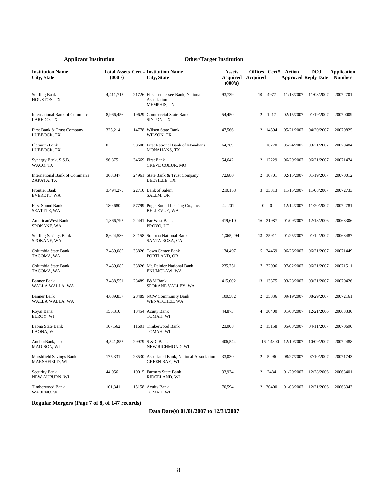| <b>Institution Name</b><br><b>City, State</b>       | (000's)          | <b>Total Assets Cert # Institution Name</b><br><b>City, State</b>         | <b>Assets</b><br><b>Acquired Acquired</b><br>(000's) | Offices Cert#  |                | Action     | <b>DOJ</b><br><b>Approved Reply Date</b> | <b>Application</b><br><b>Number</b> |
|-----------------------------------------------------|------------------|---------------------------------------------------------------------------|------------------------------------------------------|----------------|----------------|------------|------------------------------------------|-------------------------------------|
| <b>Sterling Bank</b><br>HOUSTON, TX                 | 4,411,715        | 21726 First Tennessee Bank, National<br>Association<br><b>MEMPHIS, TN</b> | 93,739                                               | 10             | 4977           | 11/13/2007 | 11/08/2007                               | 20072701                            |
| <b>International Bank of Commerce</b><br>LAREDO, TX | 8,966,456        | 19629 Commercial State Bank<br>SINTON, TX                                 | 54,450                                               | 2              | 1217           | 02/15/2007 | 01/19/2007                               | 20070009                            |
| First Bank & Trust Company<br>LUBBOCK, TX           | 325,214          | 14778 Wilson State Bank<br>WILSON, TX                                     | 47,566                                               |                | 2 14594        | 05/21/2007 | 04/20/2007                               | 20070825                            |
| Platinum Bank<br>LUBBOCK, TX                        | $\boldsymbol{0}$ | 58608 First National Bank of Monahans<br><b>MONAHANS, TX</b>              | 64,769                                               |                | 1 16770        | 05/24/2007 | 03/21/2007                               | 20070484                            |
| Synergy Bank, S.S.B.<br>WACO, TX                    | 96,875           | 34669 First Bank<br>CREVE COEUR, MO                                       | 54,642                                               |                | 2 12229        | 06/29/2007 | 06/21/2007                               | 20071474                            |
| <b>International Bank of Commerce</b><br>ZAPATA, TX | 368,847          | 24961 State Bank & Trust Company<br><b>BEEVILLE, TX</b>                   | 72,680                                               |                | 2 10701        | 02/15/2007 | 01/19/2007                               | 20070012                            |
| Frontier Bank<br>EVERETT, WA                        | 3,494,270        | 22710 Bank of Salem<br>SALEM, OR                                          | 210,158                                              |                | 3 33313        | 11/15/2007 | 11/08/2007                               | 20072733                            |
| First Sound Bank<br>SEATTLE, WA                     | 180,680          | 57799 Puget Sound Leasing Co., Inc.<br><b>BELLEVUE, WA</b>                | 42,201                                               | $\overline{0}$ | $\overline{0}$ | 12/14/2007 | 11/20/2007                               | 20072781                            |
| AmericanWest Bank<br>SPOKANE, WA                    | 1,366,797        | 22441 Far West Bank<br>PROVO, UT                                          | 419,610                                              |                | 16 21987       | 01/09/2007 | 12/18/2006                               | 20063306                            |
| <b>Sterling Savings Bank</b><br>SPOKANE, WA         | 8,624,536        | 32158 Sonoma National Bank<br>SANTA ROSA, CA                              | 1,365,294                                            |                | 13 25911       | 01/25/2007 | 01/12/2007                               | 20063487                            |
| Columbia State Bank<br>TACOMA, WA                   | 2,439,089        | 33826 Town Center Bank<br>PORTLAND, OR                                    | 134,497                                              | 5              | 34469          | 06/26/2007 | 06/21/2007                               | 20071449                            |
| Columbia State Bank<br>TACOMA, WA                   | 2,439,089        | 33826 Mt. Rainier National Bank<br>ENUMCLAW, WA                           | 235,751                                              |                | 7 32996        | 07/02/2007 | 06/21/2007                               | 20071511                            |
| <b>Banner Bank</b><br>WALLA WALLA, WA               | 3,488,551        | 28489 F&M Bank<br>SPOKANE VALLEY, WA                                      | 415,002                                              |                | 13 13375       | 03/28/2007 | 03/21/2007                               | 20070426                            |
| <b>Banner Bank</b><br>WALLA WALLA, WA               | 4,089,837        | 28489 NCW Community Bank<br>WENATCHEE, WA                                 | 100,582                                              |                | 2 35336        | 09/19/2007 | 08/29/2007                               | 20072161                            |
| Royal Bank<br>ELROY, WI                             | 155,310          | 13454 Acuity Bank<br>TOMAH, WI                                            | 44.873                                               |                | 30400          | 01/08/2007 | 12/21/2006                               | 20063330                            |
| Laona State Bank<br>LAONA, WI                       | 107,562          | 11601 Timberwood Bank<br>TOMAH, WI                                        | 23,008                                               |                | 2 15158        | 05/03/2007 | 04/11/2007                               | 20070690                            |
| AnchorBank, fsb<br>MADISON, WI                      | 4,541,857        | 29979 S & C Bank<br>NEW RICHMOND, WI                                      | 406,544                                              |                | 16 14800       | 12/10/2007 | 10/09/2007                               | 20072488                            |
| Marshfield Savings Bank<br>MARSHFIELD, WI           | 175,331          | 28530 Associated Bank, National Association<br><b>GREEN BAY, WI</b>       | 33,030                                               | $\overline{c}$ | 5296           | 08/27/2007 | 07/10/2007                               | 20071743                            |
| Security Bank<br>NEW AUBURN, WI                     | 44,056           | 10015 Farmers State Bank<br>RIDGELAND, WI                                 | 33,934                                               | 2              | 2484           | 01/29/2007 | 12/28/2006                               | 20063401                            |
| <b>Timberwood Bank</b><br>WABENO, WI                | 101.341          | 15158 Acuity Bank<br>TOMAH, WI                                            | 70.594                                               |                | 2 30400        | 01/08/2007 | 12/21/2006                               | 20063343                            |

# **Regular Mergers (Page 7 of 8, of 147 records)**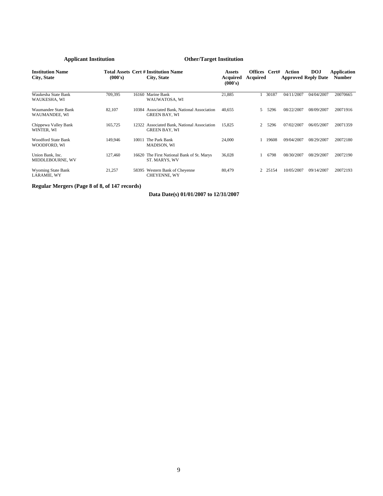| <b>Institution Name</b><br>City, State      | (000's) |       | <b>Total Assets Cert # Institution Name</b><br>City, State          | <b>Assets</b><br>Acquired<br>(000's) | Offices Cert#<br>Acquired |         | Action     | <b>DOJ</b><br><b>Approved Reply Date</b> | Application<br><b>Number</b> |
|---------------------------------------------|---------|-------|---------------------------------------------------------------------|--------------------------------------|---------------------------|---------|------------|------------------------------------------|------------------------------|
| Waukesha State Bank<br>WAUKESHA, WI         | 709,395 | 16160 | Marine Bank<br>WAUWATOSA, WI                                        | 21,885                               |                           | 30187   | 04/11/2007 | 04/04/2007                               | 20070665                     |
| Waumandee State Bank<br>WAUMANDEE, WI       | 82,107  |       | 10384 Associated Bank, National Association<br><b>GREEN BAY, WI</b> | 40,655                               | 5.                        | 5296    | 08/22/2007 | 08/09/2007                               | 20071916                     |
| Chippewa Valley Bank<br>WINTER, WI          | 165,725 |       | 12322 Associated Bank, National Association<br><b>GREEN BAY, WI</b> | 15,825                               | $\overline{2}$            | 5296    | 07/02/2007 | 06/05/2007                               | 20071359                     |
| <b>Woodford State Bank</b><br>WOODFORD, WI  | 149,946 | 10011 | The Park Bank<br>MADISON, WI                                        | 24,000                               |                           | 19608   | 09/04/2007 | 08/29/2007                               | 20072180                     |
| Union Bank, Inc.<br><b>MIDDLEBOURNE, WV</b> | 127,460 | 16620 | The First National Bank of St. Marys<br>ST. MARYS. WV               | 36,028                               |                           | 6798    | 08/30/2007 | 08/29/2007                               | 20072190                     |
| <b>Wyoming State Bank</b><br>LARAMIE, WY    | 21,257  | 58395 | Western Bank of Cheyenne<br><b>CHEYENNE, WY</b>                     | 80,479                               |                           | 2 25154 | 10/05/2007 | 09/14/2007                               | 20072193                     |

**Regular Mergers (Page 8 of 8, of 147 records)**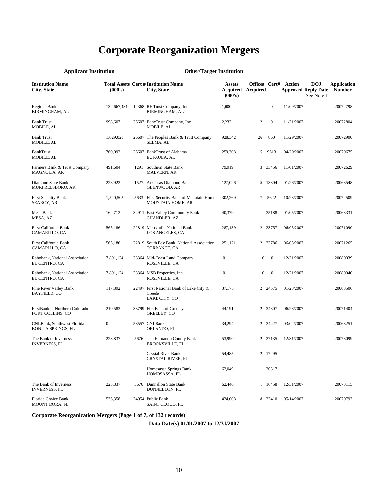# **Corporate Reorganization Mergers**

| дррисант нізицинон                                      |                  | Other/Target msutution                                              |                          |                          |                  |                             |                                                        |                                     |
|---------------------------------------------------------|------------------|---------------------------------------------------------------------|--------------------------|--------------------------|------------------|-----------------------------|--------------------------------------------------------|-------------------------------------|
| <b>Institution Name</b><br>City, State                  | (000's)          | <b>Total Assets Cert # Institution Name</b><br>City, State          | <b>Assets</b><br>(000's) | <b>Acquired Acquired</b> |                  | <b>Offices Cert# Action</b> | <b>DOJ</b><br><b>Approved Reply Date</b><br>See Note 1 | <b>Application</b><br><b>Number</b> |
| <b>Regions Bank</b><br><b>BIRMINGHAM, AL</b>            | 132,667,431      | 12368 RF Trust Company, Inc.<br><b>BIRMINGHAM, AL</b>               | 1,000                    | $\mathbf{1}$             | $\boldsymbol{0}$ | 11/09/2007                  |                                                        | 20072798                            |
| <b>Bank Trust</b><br>MOBILE, AL                         | 998,607          | 26607 BancTrust Company, Inc.<br>MOBILE, AL                         | 2,232                    | 2                        | $\mathbf{0}$     | 11/21/2007                  |                                                        | 20072804                            |
| <b>Bank Trust</b><br>MOBILE, AL                         | 1,029,028        | 26607 The Peoples Bank & Trust Company<br>SELMA, AL                 | 928,342                  | 26                       | 860              | 11/29/2007                  |                                                        | 20072900                            |
| <b>BankTrust</b><br>MOBILE, AL                          | 760,092          | 26607 BankTrust of Alabama<br>EUFAULA, AL                           | 259,308                  | 5                        | 9613             | 04/20/2007                  |                                                        | 20070675                            |
| Farmers Bank & Trust Company<br>MAGNOLIA, AR            | 491,604          | 1291 Southern State Bank<br><b>MALVERN, AR</b>                      | 79,919                   |                          | 3 33456          | 11/01/2007                  |                                                        | 20072629                            |
| Diamond State Bank<br>MURFREESBORO, AR                  | 228,922          | 1527 Arkansas Diamond Bank<br><b>GLENWOOD, AR</b>                   | 127,026                  |                          | 5 13304          | 01/26/2007                  |                                                        | 20063548                            |
| <b>First Security Bank</b><br>SEARCY, AR                | 1,520,503        | 5633 First Security Bank of Mountain Home<br>MOUNTAIN HOME, AR      | 302,269                  | $7^{\circ}$              | 5622             | 10/23/2007                  |                                                        | 20072509                            |
| Mesa Bank<br>MESA, AZ                                   | 162,712          | 34911 East Valley Community Bank<br>CHANDLER, AZ                    | 40,379                   |                          | 1 35188          | 01/05/2007                  |                                                        | 20063331                            |
| First California Bank<br>CAMARILLO, CA                  | 565,186          | 22819 Mercantile National Bank<br>LOS ANGELES, CA                   | 287,139                  |                          | 2 23757          | 06/05/2007                  |                                                        | 20071090                            |
| First California Bank<br>CAMARILLO, CA                  | 565,186          | 22819 South Bay Bank, National Association<br>TORRANCE, CA          | 251,121                  |                          | 2 23786          | 06/05/2007                  |                                                        | 20071265                            |
| Rabobank, National Association<br>EL CENTRO, CA         | 7,891,124        | 23364 Mid-Coast Land Company<br>ROSEVILLE, CA                       | $\boldsymbol{0}$         | $\mathbf{0}$             | $\mathbf{0}$     | 12/21/2007                  |                                                        | 20080039                            |
| Rabobank, National Association<br>EL CENTRO, CA         | 7,891,124        | 23364 MSB Properties, Inc.<br>ROSEVILLE, CA                         | $\boldsymbol{0}$         | $\boldsymbol{0}$         | $\mathbf{0}$     | 12/21/2007                  |                                                        | 20080040                            |
| Pine River Valley Bank<br>BAYFIELD, CO                  | 117,892          | 22497 First National Bank of Lake City &<br>Creede<br>LAKE CITY, CO | 37,173                   |                          | 2 24575          | 01/23/2007                  |                                                        | 20063506                            |
| FirstBank of Northern Colorado<br>FORT COLLINS, CO      | 210,583          | 33799 FirstBank of Greeley<br>GREELEY, CO                           | 44,191                   |                          | 2 34307          | 06/28/2007                  |                                                        | 20071404                            |
| CNLBank, Southwest Florida<br><b>BONITA SPRINGS, FL</b> | $\boldsymbol{0}$ | 58557 CNLBank<br>ORLANDO, FL                                        | 34,294                   |                          | 2 34427          | 03/02/2007                  |                                                        | 20063251                            |
| The Bank of Inverness<br><b>INVERNESS, FL</b>           | 223,837          | 5676 The Hernando County Bank<br><b>BROOKSVILLE, FL</b>             | 53,990                   |                          | 2 27135          | 12/31/2007                  |                                                        | 20073099                            |
|                                                         |                  | Crystal River Bank<br>CRYSTAL RIVER, FL                             | 54,485                   |                          | 2 17295          |                             |                                                        |                                     |
|                                                         |                  | Homosassa Springs Bank<br>HOMOSASSA, FL                             | 62,049                   |                          | 1 20317          |                             |                                                        |                                     |
| The Bank of Inverness<br><b>INVERNESS, FL</b>           | 223,837          | 5676 Dunnellon State Bank<br>DUNNELLON, FL                          | 62,446                   |                          | 1 16458          | 12/31/2007                  |                                                        | 20073115                            |
| Florida Choice Bank<br>MOUNT DORA, FL                   | 536,358          | 34954 Public Bank<br>SAINT CLOUD, FL                                | 424,008                  |                          | 8 23410          | 05/14/2007                  |                                                        | 20070793                            |

## **Applicant Institution Other/Target Institution**

**Corporate Reorganization Mergers (Page 1 of 7, of 132 records)**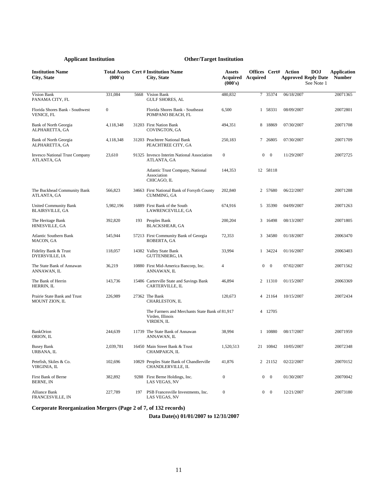| <b>Institution Name</b><br>City, State               | (000's)          |      | <b>Total Assets Cert # Institution Name</b><br>City, State                       | <b>Assets</b><br>Acquired<br>(000's) | Offices Cert#<br>Acquired |                          | Action<br><b>Approved Reply Date</b> | <b>DOJ</b><br>See Note 1 | <b>Application</b><br><b>Number</b> |
|------------------------------------------------------|------------------|------|----------------------------------------------------------------------------------|--------------------------------------|---------------------------|--------------------------|--------------------------------------|--------------------------|-------------------------------------|
| Vision Bank<br>PANAMA CITY, FL                       | 331,084          | 5668 | Vision Bank<br><b>GULF SHORES, AL</b>                                            | 480,832                              | $7\phantom{.0}$           | 35374                    | 06/18/2007                           |                          | 20071365                            |
| Florida Shores Bank - Southwest<br>VENICE, FL        | $\boldsymbol{0}$ |      | Florida Shores Bank - Southeast<br>POMPANO BEACH, FL                             | 6,500                                |                           | 1 58331                  | 08/09/2007                           |                          | 20072801                            |
| Bank of North Georgia<br>ALPHARETTA, GA              | 4,118,348        |      | 31203 First Nation Bank<br>COVINGTON, GA                                         | 494,351                              |                           | 8 18869                  | 07/30/2007                           |                          | 20071708                            |
| Bank of North Georgia<br>ALPHARETTA, GA              | 4,118,348        |      | 31203 Peachtree National Bank<br>PEACHTREE CITY, GA                              | 250,183                              |                           | 7 26805                  | 07/30/2007                           |                          | 20071709                            |
| <b>Invesco National Trust Company</b><br>ATLANTA, GA | 23,610           |      | 91325 Invesco Interim National Association<br>ATLANTA, GA                        | $\boldsymbol{0}$                     | 0                         | $\bf{0}$                 | 11/29/2007                           |                          | 20072725                            |
|                                                      |                  |      | Atlantic Trust Company, National<br>Association<br>CHICAGO, IL                   | 144,353                              |                           | 12 58118                 |                                      |                          |                                     |
| The Buckhead Community Bank<br>ATLANTA, GA           | 566,823          |      | 34663 First National Bank of Forsyth County<br><b>CUMMING, GA</b>                | 202,840                              |                           | 2 57680                  | 06/22/2007                           |                          | 20071288                            |
| United Community Bank<br><b>BLAIRSVILLE, GA</b>      | 5,982,196        |      | 16889 First Bank of the South<br>LAWRENCEVILLE, GA                               | 674,916                              |                           | 5 35390                  | 04/09/2007                           |                          | 20071263                            |
| The Heritage Bank<br>HINESVILLE, GA                  | 392,820          | 193  | Peoples Bank<br><b>BLACKSHEAR, GA</b>                                            | 200,204                              |                           | 3 16498                  | 08/13/2007                           |                          | 20071805                            |
| <b>Atlantic Southern Bank</b><br>MACON, GA           | 545,944          |      | 57213 First Community Bank of Georgia<br>ROBERTA, GA                             | 72,353                               |                           | 3 34580                  | 01/18/2007                           |                          | 20063470                            |
| Fidelity Bank & Trust<br>DYERSVILLE, IA              | 118,057          |      | 14382 Valley State Bank<br><b>GUTTENBERG, IA</b>                                 | 33,994                               |                           | 1 34224                  | 01/16/2007                           |                          | 20063403                            |
| The State Bank of Annawan<br>ANNAWAN, IL             | 36,219           |      | 10880 First Mid-America Bancorp, Inc.<br>ANNAWAN, IL                             | 4                                    | $\boldsymbol{0}$          | $\bf{0}$                 | 07/02/2007                           |                          | 20071562                            |
| The Bank of Herrin<br>HERRIN, IL                     | 143,736          |      | 15486 Carterville State and Savings Bank<br>CARTERVILLE, IL                      | 46,894                               |                           | 2 11310                  | 01/15/2007                           |                          | 20063369                            |
| Prairie State Bank and Trust<br>MOUNT ZION, IL       | 226,989          |      | 27362 The Bank<br>CHARLESTON, IL                                                 | 120,673                              |                           | 4 21164                  | 10/15/2007                           |                          | 20072434                            |
|                                                      |                  |      | The Farmers and Merchants State Bank of 81,917<br>Virden, Illinois<br>VIRDEN, IL |                                      |                           | 4 12705                  |                                      |                          |                                     |
| <b>BankOrion</b><br>ORION, IL                        | 244,639          |      | 11739 The State Bank of Annawan<br>ANNAWAN, IL                                   | 38,994                               |                           | 1 10880                  | 08/17/2007                           |                          | 20071959                            |
| Busey Bank<br>URBANA, IL                             | 2.039.781        |      | 16450 Main Street Bank & Trust<br>CHAMPAIGN, IL                                  | 1,520,513                            |                           | 21 10842                 | 10/05/2007                           |                          | 20072348                            |
| Petefish, Skiles & Co.<br>VIRGINIA, IL               | 102,696          |      | 10829 Peoples State Bank of Chandlerville<br>CHANDLERVILLE, IL                   | 41,876                               |                           | 2 21152                  | 02/22/2007                           |                          | 20070152                            |
| First Bank of Berne<br>BERNE, IN                     | 382,892          |      | 9288 First Berne Holdings, Inc.<br>LAS VEGAS, NV                                 | $\boldsymbol{0}$                     | 0                         | $\overline{\phantom{0}}$ | 01/30/2007                           |                          | 20070042                            |
| Alliance Bank<br>FRANCESVILLE, IN                    | 227,789          | 197  | PSB Francesville Investments, Inc.<br>LAS VEGAS, NV                              | $\boldsymbol{0}$                     | 0                         | $\overline{\mathbf{0}}$  | 12/21/2007                           |                          | 20073180                            |

**Corporate Reorganization Mergers (Page 2 of 7, of 132 records)**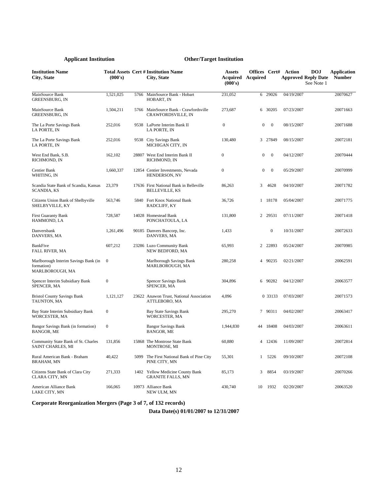| <b>Institution Name</b><br>City, State                                | (000's)          |      | <b>Total Assets Cert # Institution Name</b><br>City, State         | <b>Assets</b><br><b>Acquired Acquired</b><br>(000's) |                |                  | <b>Offices Cert# Action</b><br><b>Approved Reply Date</b> | <b>DOJ</b><br>See Note 1 | <b>Application</b><br><b>Number</b> |
|-----------------------------------------------------------------------|------------------|------|--------------------------------------------------------------------|------------------------------------------------------|----------------|------------------|-----------------------------------------------------------|--------------------------|-------------------------------------|
| MainSource Bank<br><b>GREENSBURG, IN</b>                              | 1,521,025        | 5766 | MainSource Bank - Hobart<br>HOBART, IN                             | 231,052                                              | 6              | 29026            | 04/19/2007                                                |                          | 20070627                            |
| MainSource Bank<br><b>GREENSBURG. IN</b>                              | 1,504,211        |      | 5766 MainSource Bank - Crawfordsville<br><b>CRAWFORDSVILLE, IN</b> | 273,687                                              |                | 6 30205          | 07/23/2007                                                |                          | 20071663                            |
| The La Porte Savings Bank<br>LA PORTE, IN                             | 252,016          |      | 9538 LaPorte Interim Bank II<br><b>LA PORTE. IN</b>                | $\boldsymbol{0}$                                     | $\overline{0}$ | $\mathbf{0}$     | 08/15/2007                                                |                          | 20071688                            |
| The La Porte Savings Bank<br>LA PORTE, IN                             | 252,016          |      | 9538 City Savings Bank<br>MICHIGAN CITY, IN                        | 130,480                                              |                | 3 27849          | 08/15/2007                                                |                          | 20072181                            |
| West End Bank, S.B.<br>RICHMOND, IN                                   | 162,102          |      | 28807 West End Interim Bank II<br>RICHMOND, IN                     | $\mathbf{0}$                                         | $\overline{0}$ | $\mathbf{0}$     | 04/12/2007                                                |                          | 20070444                            |
| Centier Bank<br>WHITING, IN                                           | 1,660,337        |      | 12854 Centier Investments, Nevada<br>HENDERSON, NV                 | $\mathbf{0}$                                         | $\overline{0}$ | $\overline{0}$   | 05/29/2007                                                |                          | 20070999                            |
| Scandia State Bank of Scandia, Kansas<br><b>SCANDIA, KS</b>           | 23,379           |      | 17636 First National Bank in Belleville<br><b>BELLEVILLE, KS</b>   | 86,263                                               | 3              | 4628             | 04/10/2007                                                |                          | 20071782                            |
| Citizens Union Bank of Shelbyville<br>SHELBYVILLE, KY                 | 563,746          |      | 5840 Fort Knox National Bank<br>RADCLIFF, KY                       | 36,726                                               |                | 1 18178          | 05/04/2007                                                |                          | 20071775                            |
| <b>First Guaranty Bank</b><br>HAMMOND, LA                             | 728,587          |      | 14028 Homestead Bank<br>PONCHATOULA, LA                            | 131,800                                              |                | 2 29531          | 07/11/2007                                                |                          | 20071418                            |
| Danversbank<br>DANVERS, MA                                            | 1,261,496        |      | 90185 Danvers Bancorp, Inc.<br>DANVERS, MA                         | 1,433                                                |                | $\boldsymbol{0}$ | 10/31/2007                                                |                          | 20072633                            |
| BankFive<br><b>FALL RIVER, MA</b>                                     | 607,212          |      | 23286 Luzo Community Bank<br>NEW BEDFORD, MA                       | 65,993                                               | $\overline{2}$ | 22893            | 05/24/2007                                                |                          | 20070985                            |
| Marlborough Interim Savings Bank (in<br>formation)<br>MARLBOROUGH, MA | $\mathbf{0}$     |      | Marlborough Savings Bank<br>MARLBOROUGH, MA                        | 280,258                                              |                | 4 90235          | 02/21/2007                                                |                          | 20062591                            |
| Spencer Interim Subsidiary Bank<br>SPENCER, MA                        | $\boldsymbol{0}$ |      | <b>Spencer Savings Bank</b><br>SPENCER, MA                         | 304,896                                              |                | 6 90282          | 04/12/2007                                                |                          | 20063577                            |
| <b>Bristol County Savings Bank</b><br>TAUNTON, MA                     | 1,121,127        |      | 23622 Anawon Trust, National Association<br>ATTLEBORO, MA          | 4,096                                                |                | 0 33133          | 07/03/2007                                                |                          | 20071573                            |
| Bay State Interim Subsidiary Bank<br>WORCESTER, MA                    | $\mathbf{0}$     |      | <b>Bay State Savings Bank</b><br>WORCESTER, MA                     | 295,270                                              | $7^{\circ}$    | 90311            | 04/02/2007                                                |                          | 20063417                            |
| Bangor Savings Bank (in formation)<br><b>BANGOR, ME</b>               | $\boldsymbol{0}$ |      | <b>Bangor Savings Bank</b><br><b>BANGOR, ME</b>                    | 1,944,830                                            |                | 44 18408         | 04/03/2007                                                |                          | 20063611                            |
| Community State Bank of St. Charles<br>SAINT CHARLES, MI              | 131,856          |      | 15868 The Montrose State Bank<br>MONTROSE, MI                      | 60,880                                               |                | 4 12436          | 11/09/2007                                                |                          | 20072814                            |
| Rural American Bank - Braham<br>BRAHAM, MN                            | 40,422           |      | 5099 The First National Bank of Pine City<br>PINE CITY, MN         | 55,301                                               | 1              | 5226             | 09/10/2007                                                |                          | 20072108                            |
| Citizens State Bank of Clara City<br>CLARA CITY, MN                   | 271,333          |      | 1402 Yellow Medicine County Bank<br><b>GRANITE FALLS, MN</b>       | 85,173                                               | 3              | 8854             | 03/19/2007                                                |                          | 20070266                            |
| American Alliance Bank<br>LAKE CITY, MN                               | 166,065          |      | 10973 Alliance Bank<br>NEW ULM, MN                                 | 430,740                                              | 10             | 1932             | 02/20/2007                                                |                          | 20063520                            |

**Corporate Reorganization Mergers (Page 3 of 7, of 132 records)**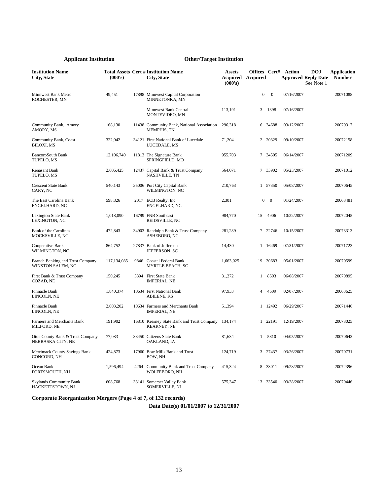| <b>Institution Name</b><br><b>City, State</b>                | (000's)     |      | <b>Total Assets Cert # Institution Name</b><br>City, State       | <b>Assets</b><br><b>Acquired</b> Acquired<br>(000's) |                  |                | <b>Offices Cert# Action</b><br><b>DOJ</b><br><b>Approved Reply Date</b><br>See Note 1 | <b>Application</b><br><b>Number</b> |
|--------------------------------------------------------------|-------------|------|------------------------------------------------------------------|------------------------------------------------------|------------------|----------------|---------------------------------------------------------------------------------------|-------------------------------------|
| Minnwest Bank Metro<br>ROCHESTER, MN                         | 49,451      |      | 17898 Minnwest Capital Corporation<br>MINNETONKA, MN             |                                                      | $\boldsymbol{0}$ | $\mathbf{0}$   | 07/16/2007                                                                            | 20071088                            |
|                                                              |             |      | Minnwest Bank Central<br>MONTEVIDEO, MN                          | 113,191                                              | 3                | 1398           | 07/16/2007                                                                            |                                     |
| Community Bank, Amory<br>AMORY, MS                           | 168,130     |      | 11438 Community Bank, National Association<br><b>MEMPHIS, TN</b> | 296,318                                              |                  | 6 34688        | 03/12/2007                                                                            | 20070317                            |
| Community Bank, Coast<br><b>BILOXI, MS</b>                   | 322,042     |      | 34121 First National Bank of Lucedale<br>LUCEDALE, MS            | 71,204                                               | $\overline{2}$   | 20329          | 09/10/2007                                                                            | 20072158                            |
| <b>BancorpSouth Bank</b><br>TUPELO, MS                       | 12,106,740  |      | 11813 The Signature Bank<br>SPRINGFIELD, MO                      | 955,703                                              |                  | 7 34505        | 06/14/2007                                                                            | 20071209                            |
| <b>Renasant Bank</b><br>TUPELO, MS                           | 2,606,425   |      | 12437 Capital Bank & Trust Company<br>NASHVILLE, TN              | 564,071                                              | $7\phantom{.0}$  | 33902          | 05/23/2007                                                                            | 20071012                            |
| <b>Crescent State Bank</b><br>CARY, NC                       | 540,143     |      | 35006 Port City Capital Bank<br>WILMINGTON, NC                   | 210,763                                              |                  | 1 57350        | 05/08/2007                                                                            | 20070645                            |
| The East Carolina Bank<br><b>ENGELHARD, NC</b>               | 598,826     |      | 2017 ECB Realty, Inc<br><b>ENGELHARD, NC</b>                     | 2,301                                                | $\boldsymbol{0}$ | $\overline{0}$ | 01/24/2007                                                                            | 20063481                            |
| <b>Lexington State Bank</b><br>LEXINGTON, NC                 | 1,018,090   |      | 16799 FNB Southeast<br>REIDSVILLE, NC                            | 984,770                                              | 15               | 4906           | 10/22/2007                                                                            | 20072045                            |
| Bank of the Carolinas<br>MOCKSVILLE, NC                      | 472,843     |      | 34903 Randolph Bank & Trust Company<br>ASHEBORO, NC              | 281,289                                              | $7^{\circ}$      | 22746          | 10/15/2007                                                                            | 20073313                            |
| Cooperative Bank<br>WILMINGTON, NC                           | 864,752     |      | 27837 Bank of Jefferson<br>JEFFERSON, SC                         | 14,430                                               |                  | 1 16469        | 07/31/2007                                                                            | 20071723                            |
| <b>Branch Banking and Trust Company</b><br>WINSTON SALEM, NC | 117,134,085 |      | 9846 Coastal Federal Bank<br>MYRTLE BEACH, SC                    | 1,663,025                                            | 19               | 30683          | 05/01/2007                                                                            | 20070599                            |
| First Bank & Trust Company<br>COZAD, NE                      | 150,245     |      | 5394 First State Bank<br><b>IMPERIAL, NE</b>                     | 31,272                                               | $\mathbf{1}$     | 8603           | 06/08/2007                                                                            | 20070895                            |
| Pinnacle Bank<br>LINCOLN, NE                                 | 1,840,374   |      | 10634 First National Bank<br><b>ABILENE, KS</b>                  | 97,933                                               | 4                | 4609           | 02/07/2007                                                                            | 20063625                            |
| Pinnacle Bank<br>LINCOLN, NE                                 | 2,003,202   |      | 10634 Farmers and Merchants Bank<br><b>IMPERIAL, NE</b>          | 51,394                                               |                  | 1 12492        | 06/29/2007                                                                            | 20071446                            |
| Farmers and Merchants Bank<br>MILFORD, NE                    | 191,902     |      | 16810 Kearney State Bank and Trust Company<br><b>KEARNEY, NE</b> | 134,174                                              |                  | 1 22191        | 12/19/2007                                                                            | 20073025                            |
| Otoe County Bank & Trust Company<br>NEBRASKA CITY, NE        | 77,083      |      | 33450 Citizens State Bank<br>OAKLAND, IA                         | 81,634                                               | $\mathbf{1}$     | 5810           | 04/05/2007                                                                            | 20070643                            |
| Merrimack County Savings Bank<br>CONCORD, NH                 | 424,873     |      | 17960 Bow Mills Bank and Trust<br>BOW, NH                        | 124,719                                              |                  | 3 27437        | 03/26/2007                                                                            | 20070731                            |
| Ocean Bank<br>PORTSMOUTH, NH                                 | 1,596,494   | 4264 | Community Bank and Trust Company<br>WOLFEBORO, NH                | 415,324                                              |                  | 8 33011        | 09/28/2007                                                                            | 20072396                            |
| <b>Skylands Community Bank</b><br>HACKETTSTOWN, NJ           | 608,768     |      | 33141 Somerset Valley Bank<br>SOMERVILLE, NJ                     | 575,347                                              |                  | 13 33540       | 03/28/2007                                                                            | 20070446                            |

**Corporate Reorganization Mergers (Page 4 of 7, of 132 records)**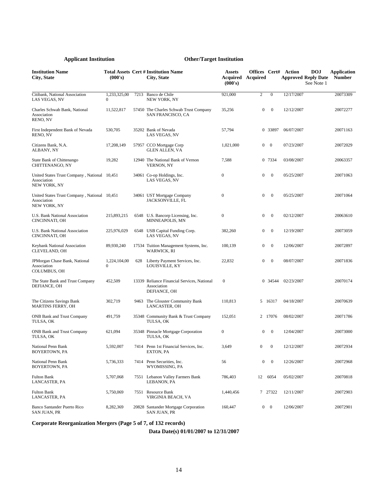| <b>Institution Name</b><br>City, State                                      | (000's)                      |      | <b>Total Assets Cert # Institution Name</b><br>City, State                 | <b>Assets</b><br>(000's) | <b>Acquired Acquired</b> |                  | <b>Offices Cert# Action</b><br><b>Approved Reply Date</b> | <b>DOJ</b><br>See Note 1 | Application<br><b>Number</b> |
|-----------------------------------------------------------------------------|------------------------------|------|----------------------------------------------------------------------------|--------------------------|--------------------------|------------------|-----------------------------------------------------------|--------------------------|------------------------------|
| Citibank, National Association<br>LAS VEGAS, NV                             | 1,233,325,00<br>$\mathbf{0}$ | 7213 | Banco de Chile<br><b>NEW YORK, NY</b>                                      | 921,000                  | 2                        | $\boldsymbol{0}$ | 12/17/2007                                                |                          | 20073309                     |
| Charles Schwab Bank, National<br>Association<br>RENO, NV                    | 11,522,817                   |      | 57450 The Charles Schwab Trust Company<br>SAN FRANCISCO, CA                | 35,256                   | $\boldsymbol{0}$         | $\mathbf{0}$     | 12/12/2007                                                |                          | 20072277                     |
| First Independent Bank of Nevada<br>RENO, NV                                | 530,705                      |      | 35202 Bank of Nevada<br>LAS VEGAS, NV                                      | 57,794                   | 0                        | 33897            | 06/07/2007                                                |                          | 20071163                     |
| Citizens Bank, N.A.<br>ALBANY, NY                                           | 17,208,149                   |      | 57957 CCO Mortgage Corp<br><b>GLEN ALLEN, VA</b>                           | 1,021,000                | $\boldsymbol{0}$         | $\bf{0}$         | 07/23/2007                                                |                          | 20072029                     |
| State Bank of Chittenango<br>CHITTENANGO, NY                                | 19,282                       |      | 12940 The National Bank of Vernon<br><b>VERNON, NY</b>                     | 7,588                    | 0                        | 7334             | 03/08/2007                                                |                          | 20063357                     |
| United States Trust Company, National 10,451<br>Association<br>NEW YORK, NY |                              |      | 34061 Co-op Holdings, Inc.<br>LAS VEGAS, NV                                | 0                        | $\boldsymbol{0}$         | $\mathbf{0}$     | 05/25/2007                                                |                          | 20071063                     |
| United States Trust Company, National 10,451<br>Association<br>NEW YORK, NY |                              |      | 34061 UST Mortgage Company<br>JACKSONVILLE, FL                             | $\boldsymbol{0}$         | $\boldsymbol{0}$         | $\mathbf{0}$     | 05/25/2007                                                |                          | 20071064                     |
| U.S. Bank National Association<br>CINCINNATI, OH                            | 215,893,215                  |      | 6548 U.S. Bancorp Licensing, Inc.<br>MINNEAPOLIS, MN                       | $\boldsymbol{0}$         | 0                        | $\mathbf{0}$     | 02/12/2007                                                |                          | 20063610                     |
| U.S. Bank National Association<br>CINCINNATI, OH                            | 225,976,029                  |      | 6548 USB Capital Funding Corp.<br>LAS VEGAS, NV                            | 382,260                  | 0                        | $\mathbf{0}$     | 12/19/2007                                                |                          | 20073059                     |
| Keybank National Association<br>CLEVELAND, OH                               | 89,930,240                   |      | 17534 Tuition Management Systems, Inc.<br><b>WARWICK, RI</b>               | 100,139                  | $\boldsymbol{0}$         | $\mathbf{0}$     | 12/06/2007                                                |                          | 20072897                     |
| JPMorgan Chase Bank, National<br>Association<br><b>COLUMBUS, OH</b>         | 1,224,104,00<br>$\mathbf{0}$ | 628  | Liberty Payment Services, Inc.<br>LOUISVILLE, KY                           | 22,832                   | $\boldsymbol{0}$         | $\boldsymbol{0}$ | 08/07/2007                                                |                          | 20071836                     |
| The State Bank and Trust Company<br>DEFIANCE, OH                            | 452,509                      |      | 13339 Reliance Financial Services, National<br>Association<br>DEFIANCE, OH | $\boldsymbol{0}$         | $\overline{0}$           | 34544            | 02/23/2007                                                |                          | 20070174                     |
| The Citizens Savings Bank<br><b>MARTINS FERRY, OH</b>                       | 302,719                      |      | 9463 The Glouster Community Bank<br>LANCASTER, OH                          | 110,813                  |                          | 5 16317          | 04/18/2007                                                |                          | 20070639                     |
| <b>ONB Bank and Trust Company</b><br>TULSA, OK                              | 491,759                      |      | 35348 Community Bank & Trust Company<br>TULSA, OK                          | 152,051                  |                          | 2 17076          | 08/02/2007                                                |                          | 20071786                     |
| <b>ONB Bank and Trust Company</b><br>TULSA, OK                              | 621,094                      |      | 35348 Pinnacle Mortgage Corporation<br>TULSA, OK                           | 0                        | 0                        | $\mathbf{0}$     | 12/04/2007                                                |                          | 20073000                     |
| National Penn Bank<br>BOYERTOWN, PA                                         | 5,592,007                    |      | 7414 Penn 1st Financial Services, Inc.<br>EXTON, PA                        | 3,649                    | $\overline{0}$           | $\mathbf{0}$     | 12/12/2007                                                |                          | 20072934                     |
| National Penn Bank<br>BOYERTOWN, PA                                         | 5,736,333                    |      | 7414 Penn Securities, Inc.<br>WYOMISSING, PA                               | 56                       | $\mathbf{0}$             | $\overline{0}$   | 12/26/2007                                                |                          | 20072968                     |
| Fulton Bank<br>LANCASTER, PA                                                | 5,707,068                    |      | 7551 Lebanon Valley Farmers Bank<br>LEBANON, PA                            | 786,403                  | 12                       | 6054             | 05/02/2007                                                |                          | 20070818                     |
| Fulton Bank<br>LANCASTER, PA                                                | 5,750,069                    |      | 7551 Resource Bank<br>VIRGINIA BEACH, VA                                   | 1,440,456                |                          | 7 27322          | 12/11/2007                                                |                          | 20072903                     |
| <b>Banco Santander Puerto Rico</b><br>SAN JUAN, PR                          | 8,282,369                    |      | 20828 Santander Mortgage Corporation<br>SAN JUAN, PR                       | 160,447                  |                          | $0 \quad 0$      | 12/06/2007                                                |                          | 20072901                     |

**Corporate Reorganization Mergers (Page 5 of 7, of 132 records)**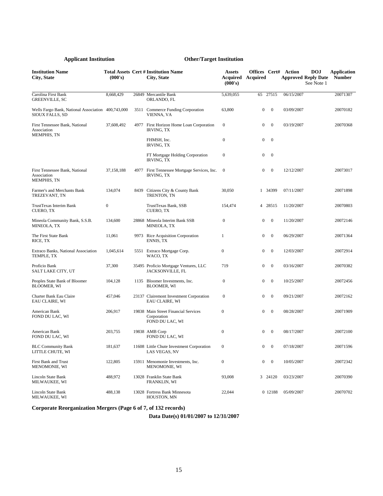| <b>Institution Name</b><br>City, State                                | (000's)          |      | <b>Total Assets Cert # Institution Name</b><br>City, State             | <b>Assets</b><br>Acquired<br>(000's) | <b>Offices Cert# Action</b><br>Acquired |                | <b>Approved Reply Date</b> | <b>DOJ</b><br>See Note 1 | <b>Application</b><br><b>Number</b> |
|-----------------------------------------------------------------------|------------------|------|------------------------------------------------------------------------|--------------------------------------|-----------------------------------------|----------------|----------------------------|--------------------------|-------------------------------------|
| Carolina First Bank<br><b>GREENVILLE, SC</b>                          | 8,668,429        |      | 26849 Mercantile Bank<br>ORLANDO, FL                                   | 5,639,055                            | 65 27515                                |                | 06/15/2007                 |                          | 20071307                            |
| Wells Fargo Bank, National Association 400,743,000<br>SIOUX FALLS, SD |                  |      | 3511 Commerce Funding Corporation<br>VIENNA, VA                        | 63,800                               | $\mathbf{0}$                            | $\overline{0}$ | 03/09/2007                 |                          | 20070182                            |
| First Tennessee Bank, National<br>Association                         | 37,608,492       |      | 4977 First Horizon Home Loan Corporation<br><b>IRVING, TX</b>          | $\boldsymbol{0}$                     | 0                                       | $\mathbf{0}$   | 03/19/2007                 |                          | 20070368                            |
| <b>MEMPHIS, TN</b>                                                    |                  |      | FHMSH, Inc.<br><b>IRVING, TX</b>                                       | $\boldsymbol{0}$                     | $\mathbf{0}$                            | $\mathbf{0}$   |                            |                          |                                     |
|                                                                       |                  |      | FT Mortgage Holding Corporation<br><b>IRVING, TX</b>                   | $\boldsymbol{0}$                     | 0                                       | $\mathbf{0}$   |                            |                          |                                     |
| First Tennessee Bank, National<br>Association<br><b>MEMPHIS, TN</b>   | 37,158,188       |      | 4977 First Tennessee Mortgage Services, Inc.<br><b>IRVING, TX</b>      | $\mathbf{0}$                         | 0                                       | $\mathbf{0}$   | 12/12/2007                 |                          | 20073017                            |
| Farmer's and Merchants Bank<br>TREZEVANT, TN                          | 134,074          | 8439 | Citizens City & County Bank<br>TRENTON, TN                             | 30,050                               |                                         | 1 34399        | 07/11/2007                 |                          | 20071898                            |
| TrustTexas Interim Bank<br><b>CUERO, TX</b>                           | $\boldsymbol{0}$ |      | TrustTexas Bank, SSB<br>CUERO, TX                                      | 154,474                              |                                         | 4 28515        | 11/20/2007                 |                          | 20070803                            |
| Mineola Community Bank, S.S.B.<br>MINEOLA, TX                         | 134,600          |      | 28868 Mineola Interim Bank SSB<br>MINEOLA, TX                          | $\boldsymbol{0}$                     | 0                                       | $\mathbf{0}$   | 11/20/2007                 |                          | 20072146                            |
| The First State Bank<br>RICE, TX                                      | 11,061           |      | 9973 Rice Acquisition Corporation<br>ENNIS, TX                         | 1                                    | 0                                       | $\mathbf{0}$   | 06/29/2007                 |                          | 20071364                            |
| Extraco Banks, National Association<br>TEMPLE, TX                     | 1,045,614        |      | 5551 Extraco Mortgage Corp.<br>WACO, TX                                | $\boldsymbol{0}$                     | 0                                       | $\mathbf{0}$   | 12/03/2007                 |                          | 20072914                            |
| Proficio Bank<br>SALT LAKE CITY, UT                                   | 37,300           |      | 35495 Proficio Mortgage Ventures, LLC<br>JACKSONVILLE, FL              | 719                                  | 0                                       | $\mathbf{0}$   | 03/16/2007                 |                          | 20070382                            |
| Peoples State Bank of Bloomer<br><b>BLOOMER, WI</b>                   | 104,128          |      | 1135 Bloomer Investments, Inc.<br><b>BLOOMER, WI</b>                   | $\boldsymbol{0}$                     | 0                                       | $\mathbf{0}$   | 10/25/2007                 |                          | 20072456                            |
| Charter Bank Eau Claire<br>EAU CLAIRE, WI                             | 457,046          |      | 23137 Clairemont Investment Corporation<br>EAU CLAIRE, WI              | $\boldsymbol{0}$                     | 0                                       | $\mathbf{0}$   | 09/21/2007                 |                          | 20072162                            |
| American Bank<br>FOND DU LAC, WI                                      | 206,917          |      | 19838 Main Street Financial Services<br>Corporation<br>FOND DU LAC, WI | $\boldsymbol{0}$                     | 0                                       | $\mathbf{0}$   | 08/28/2007                 |                          | 20071909                            |
| American Bank<br>FOND DU LAC, WI                                      | 203,755          |      | 19838 AMB Corp<br>FOND DU LAC, WI                                      | $\boldsymbol{0}$                     | $\boldsymbol{0}$                        | $\mathbf{0}$   | 08/17/2007                 |                          | 20072100                            |
| <b>BLC Community Bank</b><br>LITTLE CHUTE, WI                         | 181,637          |      | 11608 Little Chute Investment Corporation<br>LAS VEGAS, NV             | 0                                    | $\overline{0}$                          | $\theta$       | 07/18/2007                 |                          | 20071596                            |
| First Bank and Trust<br>MENOMONIE, WI                                 | 122,805          |      | 15911 Menomonie Investments, Inc.<br>MENOMONIE, WI                     | $\boldsymbol{0}$                     | $\boldsymbol{0}$                        | $\overline{0}$ | 10/05/2007                 |                          | 20072342                            |
| Lincoln State Bank<br>MILWAUKEE, WI                                   | 488,972          |      | 13028 Franklin State Bank<br>FRANKLIN, WI                              | 93,008                               |                                         | 3 24120        | 03/23/2007                 |                          | 20070390                            |
| Lincoln State Bank<br>MILWAUKEE, WI                                   | 488,138          |      | 13028 Fortress Bank Minnesota<br>HOUSTON, MN                           | 22,044                               |                                         | 0 12188        | 05/09/2007                 |                          | 20070702                            |

**Corporate Reorganization Mergers (Page 6 of 7, of 132 records)**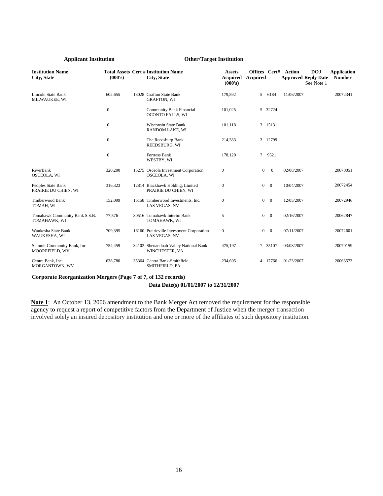| <b>Institution Name</b><br><b>City, State</b>  | (000's)          | <b>Total Assets Cert # Institution Name</b><br><b>City, State</b> | <b>Assets</b><br><b>Acquired</b><br>(000's) | Offices Cert#<br><b>Acquired</b> |                | Action<br><b>Approved Reply Date</b> | <b>DOJ</b><br>See Note 1 | <b>Application</b><br><b>Number</b> |
|------------------------------------------------|------------------|-------------------------------------------------------------------|---------------------------------------------|----------------------------------|----------------|--------------------------------------|--------------------------|-------------------------------------|
| <b>Lincoln State Bank</b><br>MILWAUKEE, WI     | 602,655          | 13028 Grafton State Bank<br><b>GRAFTON, WI</b>                    | 179,592                                     |                                  | 5 6184         | 11/06/2007                           |                          | 20072341                            |
|                                                | $\boldsymbol{0}$ | <b>Community Bank Financial</b><br>OCONTO FALLS, WI               | 101,025                                     |                                  | 5 32724        |                                      |                          |                                     |
|                                                | $\Omega$         | <b>Wisconsin State Bank</b><br>RANDOM LAKE, WI                    | 101,118                                     |                                  | 3 15131        |                                      |                          |                                     |
|                                                | $\mathbf{0}$     | The Reedsburg Bank<br>REEDSBURG, WI                               | 214,383                                     |                                  | 3 12799        |                                      |                          |                                     |
|                                                | $\mathbf{0}$     | Fortress Bank<br>WESTBY, WI                                       | 178,120                                     | $7^{\circ}$                      | 9521           |                                      |                          |                                     |
| RiverBank<br>OSCEOLA, WI                       | 320,200          | 15275 Osceola Investment Corporation<br>OSCEOLA, WI               | $\mathbf{0}$                                | $\overline{0}$                   | $\overline{0}$ | 02/08/2007                           |                          | 20070051                            |
| Peoples State Bank<br>PRAIRIE DU CHIEN, WI     | 316,323          | 12814 Blackhawk Holding, Limited<br>PRAIRIE DU CHIEN, WI          | $\mathbf{0}$                                | $\overline{0}$                   | $\overline{0}$ | 10/04/2007                           |                          | 20072454                            |
| Timberwood Bank<br>TOMAH, WI                   | 152,099          | 15158 Timberwood Investments, Inc.<br>LAS VEGAS, NV               | $\mathbf{0}$                                | $\mathbf{0}$                     | $\overline{0}$ | 12/05/2007                           |                          | 20072946                            |
| Tomahawk Community Bank S.S.B.<br>TOMAHAWK, WI | 77,576           | 30516 Tomahawk Interim Bank<br>TOMAHAWK, WI                       | 5                                           | $\mathbf{0}$                     | $\overline{0}$ | 02/16/2007                           |                          | 20062847                            |
| Waukesha State Bank<br>WAUKESHA, WI            | 709,395          | 16160 Prairieville Investment Corporation<br>LAS VEGAS, NV        | $\boldsymbol{0}$                            | $\mathbf{0}$                     | $\mathbf{0}$   | 07/11/2007                           |                          | 20072601                            |
| Summit Community Bank, Inc.<br>MOOREFIELD, WV  | 754,459          | 34102 Shenandoah Valley National Bank<br>WINCHESTER, VA           | 475,197                                     |                                  | 7 35107        | 03/08/2007                           |                          | 20070159                            |
| Centra Bank, Inc.<br>MORGANTOWN, WV            | 638,780          | 35364 Centra Bank-Smithfield<br>SMITHFIELD, PA                    | 234,605                                     |                                  | 4 17766        | 01/23/2007                           |                          | 20063573                            |

**Corporate Reorganization Mergers (Page 7 of 7, of 132 records)** 

## **Data Date(s) 01/01/2007 to 12/31/2007**

**Note 1**: An October 13, 2006 amendment to the Bank Merger Act removed the requirement for the responsible agency to request a report of competitive factors from the Department of Justice when the merger transaction involved solely an insured depository institution and one or more of the affiliates of such depository institution.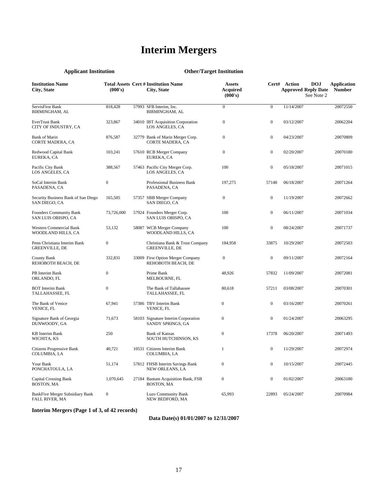# **Interim Mergers**

| <b>Applicant Institution</b>                          |                  | <b>Other/Target Institution</b>                            |                                      |                  |                                            |                          |                                     |
|-------------------------------------------------------|------------------|------------------------------------------------------------|--------------------------------------|------------------|--------------------------------------------|--------------------------|-------------------------------------|
| <b>Institution Name</b><br>City, State                | (000's)          | <b>Total Assets Cert # Institution Name</b><br>City, State | <b>Assets</b><br>Acquired<br>(000's) |                  | Cert# Action<br><b>Approved Reply Date</b> | <b>DOJ</b><br>See Note 2 | <b>Application</b><br><b>Number</b> |
| ServisFirst Bank<br><b>BIRMINGHAM, AL</b>             | 818,428          | 57993 SFB Interim. Inc.<br><b>BIRMINGHAM, AL</b>           | $\boldsymbol{0}$                     | $\boldsymbol{0}$ | 11/14/2007                                 |                          | 20072550                            |
| EverTrust Bank<br>CITY OF INDUSTRY, CA                | 323,867          | 34010 IBT Acquisition Corporation<br>LOS ANGELES, CA       | $\boldsymbol{0}$                     | $\boldsymbol{0}$ | 03/12/2007                                 |                          | 20062204                            |
| <b>Bank of Marin</b><br>CORTE MADERA, CA              | 876,587          | 32779 Bank of Marin Merger Corp.<br>CORTE MADERA, CA       | $\boldsymbol{0}$                     | $\boldsymbol{0}$ | 04/23/2007                                 |                          | 20070809                            |
| Redwood Capital Bank<br>EUREKA, CA                    | 103,241          | 57610 RCB Merger Company<br>EUREKA, CA                     | $\boldsymbol{0}$                     | $\boldsymbol{0}$ | 02/20/2007                                 |                          | 20070180                            |
| Pacific City Bank<br>LOS ANGELES, CA                  | 388,567          | 57463 Pacific City Merger Corp.<br>LOS ANGELES, CA         | 100                                  | $\boldsymbol{0}$ | 05/18/2007                                 |                          | 20071015                            |
| SoCal Interim Bank<br>PASADENA, CA                    | $\boldsymbol{0}$ | Professional Business Bank<br>PASADENA, CA                 | 197,275                              | 57148            | 06/18/2007                                 |                          | 20071264                            |
| Security Business Bank of San Diego<br>SAN DIEGO, CA  | 165,505          | 57357 SBB Merger Company<br>SAN DIEGO, CA                  | $\boldsymbol{0}$                     | $\boldsymbol{0}$ | 11/19/2007                                 |                          | 20072662                            |
| Founders Community Bank<br>SAN LUIS OBISPO, CA        | 73,726,000       | 57924 Founders Merger Corp.<br>SAN LUIS OBISPO, CA         | 100                                  | $\boldsymbol{0}$ | 06/11/2007                                 |                          | 20071034                            |
| Western Commercial Bank<br>WOODLAND HILLS, CA         | 53,132           | 58087 WCB Merger Company<br>WOODLAND HILLS, CA             | 100                                  | $\boldsymbol{0}$ | 08/24/2007                                 |                          | 20071737                            |
| Penn Christiana Interim Bank<br><b>GREENVILLE, DE</b> | $\boldsymbol{0}$ | Christiana Bank & Trust Company<br>GREENVILLE, DE          | 184,958                              | 33875            | 10/29/2007                                 |                          | 20072503                            |
| County Bank<br>REHOBOTH BEACH, DE                     | 332,831          | 33009 First Option Merger Company<br>REHOBOTH BEACH, DE    | $\boldsymbol{0}$                     | $\boldsymbol{0}$ | 09/11/2007                                 |                          | 20072164                            |
| PB Interim Bank<br>ORLANDO, FL                        | $\boldsymbol{0}$ | Prime Bank<br>MELBOURNE, FL                                | 48,926                               | 57832            | 11/09/2007                                 |                          | 20072081                            |
| <b>BOT</b> Interim Bank<br>TALLAHASSEE, FL            | $\boldsymbol{0}$ | The Bank of Tallahassee<br>TALLAHASSEE, FL                 | 80,618                               | 57211            | 03/08/2007                                 |                          | 20070301                            |
| The Bank of Venice<br>VENICE, FL                      | 67,941           | 57386 TBV Interim Bank<br>VENICE, FL                       | $\boldsymbol{0}$                     | $\boldsymbol{0}$ | 03/16/2007                                 |                          | 20070261                            |
| Signature Bank of Georgia<br>DUNWOODY, GA             | 71,673           | 58103 Signature Interim Corporation<br>SANDY SPRINGS, GA   | $\boldsymbol{0}$                     | $\boldsymbol{0}$ | 01/24/2007                                 |                          | 20063295                            |
| <b>KB</b> Interim Bank<br>WICHITA, KS                 | 250              | <b>Bank of Kansas</b><br>SOUTH HUTCHINSON, KS              | $\boldsymbol{0}$                     | 17378            | 06/20/2007                                 |                          | 20071493                            |
| Citizens Progressive Bank<br>COLUMBIA, LA             | 40,721           | 10531 Citizens Interim Bank<br>COLUMBIA, LA                |                                      |                  | 11/29/2007                                 |                          | 20072974                            |
| Your Bank<br>PONCHATOULA, LA                          | 51,174           | 57812 FHSB Interim Savings Bank<br>NEW ORLEANS, LA         | $\boldsymbol{0}$                     | $\boldsymbol{0}$ | 10/15/2007                                 |                          | 20072445                            |
| <b>Capital Crossing Bank</b><br>BOSTON, MA            | 1,070,645        | 27184 Bantam Acquisition Bank, FSB<br>BOSTON, MA           | $\boldsymbol{0}$                     | 0                | 01/02/2007                                 |                          | 20063180                            |
| BankFive Merger Subsidiary Bank<br>FALL RIVER, MA     | $\boldsymbol{0}$ | Luzo Community Bank<br>NEW BEDFORD, MA                     | 65,993                               | 22893            | 05/24/2007                                 |                          | 20070984                            |

## **Interim Mergers (Page 1 of 3, of 42 records)**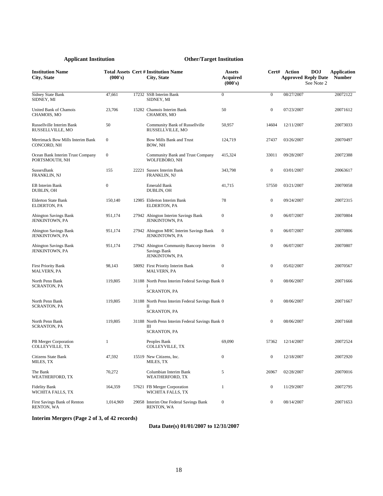| <b>Institution Name</b><br>City, State             | (000's)          | <b>Total Assets Cert # Institution Name</b><br>City, State                        | <b>Assets</b><br><b>Acquired</b><br>(000's) |                  | Cert# Action<br><b>Approved Reply Date</b> | <b>DOJ</b><br>See Note 2 | <b>Application</b><br><b>Number</b> |
|----------------------------------------------------|------------------|-----------------------------------------------------------------------------------|---------------------------------------------|------------------|--------------------------------------------|--------------------------|-------------------------------------|
| <b>Sidney State Bank</b><br>SIDNEY, MI             | 47,661           | 17232 SSB Interim Bank<br>SIDNEY, MI                                              | $\boldsymbol{0}$                            | $\mathbf{0}$     | 08/27/2007                                 |                          | 20072122                            |
| United Bank of Chamois<br>CHAMOIS, MO              | 23,706           | 15282 Chamois Interim Bank<br>CHAMOIS, MO                                         | 50                                          | $\boldsymbol{0}$ | 07/23/2007                                 |                          | 20071612                            |
| Russellville Interim Bank<br>RUSSELLVILLE, MO      | 50               | Community Bank of Russellville<br>RUSSELLVILLE, MO                                | 50,957                                      | 14604            | 12/11/2007                                 |                          | 20073033                            |
| Merrimack Bow Mills Interim Bank<br>CONCORD, NH    | $\boldsymbol{0}$ | Bow Mills Bank and Trust<br>BOW, NH                                               | 124,719                                     | 27437            | 03/26/2007                                 |                          | 20070497                            |
| Ocean Bank Interim Trust Company<br>PORTSMOUTH, NH | $\boldsymbol{0}$ | Community Bank and Trust Company<br>WOLFEBORO, NH                                 | 415,324                                     | 33011            | 09/28/2007                                 |                          | 20072388                            |
| SussexBank<br><b>FRANKLIN, NJ</b>                  | 155              | 22221 Sussex Interim Bank<br>FRANKLIN, NJ                                         | 343,798                                     | $\boldsymbol{0}$ | 03/01/2007                                 |                          | 20063617                            |
| EB Interim Bank<br>DUBLIN, OH                      | $\boldsymbol{0}$ | <b>Emerald Bank</b><br>DUBLIN, OH                                                 | 41,715                                      | 57550            | 03/21/2007                                 |                          | 20070058                            |
| <b>Elderton State Bank</b><br>ELDERTON, PA         | 150,140          | 12985 Elderton Interim Bank<br>ELDERTON, PA                                       | 78                                          | $\boldsymbol{0}$ | 09/24/2007                                 |                          | 20072315                            |
| <b>Abington Savings Bank</b><br>JENKINTOWN, PA     | 951,174          | 27942 Abington Interim Savings Bank<br>JENKINTOWN, PA                             | $\boldsymbol{0}$                            | $\boldsymbol{0}$ | 06/07/2007                                 |                          | 20070804                            |
| <b>Abington Savings Bank</b><br>JENKINTOWN, PA     | 951,174          | 27942 Abington MHC Interim Savings Bank<br>JENKINTOWN, PA                         | $\boldsymbol{0}$                            | $\boldsymbol{0}$ | 06/07/2007                                 |                          | 20070806                            |
| <b>Abington Savings Bank</b><br>JENKINTOWN, PA     | 951,174          | 27942 Abington Community Bancorp Interim<br><b>Savings Bank</b><br>JENKINTOWN, PA | $\mathbf{0}$                                | $\boldsymbol{0}$ | 06/07/2007                                 |                          | 20070807                            |
| <b>First Priority Bank</b><br>MALVERN, PA          | 98,143           | 58092 First Priority Interim Bank<br><b>MALVERN, PA</b>                           | $\boldsymbol{0}$                            | $\boldsymbol{0}$ | 05/02/2007                                 |                          | 20070567                            |
| North Penn Bank<br><b>SCRANTON, PA</b>             | 119,805          | 31188 North Penn Interim Federal Savings Bank 0<br>-1<br><b>SCRANTON, PA</b>      |                                             | $\boldsymbol{0}$ | 08/06/2007                                 |                          | 20071666                            |
| North Penn Bank<br><b>SCRANTON, PA</b>             | 119,805          | 31188 North Penn Interim Federal Savings Bank 0<br>П<br><b>SCRANTON, PA</b>       |                                             | $\boldsymbol{0}$ | 08/06/2007                                 |                          | 20071667                            |
| North Penn Bank<br><b>SCRANTON, PA</b>             | 119,805          | 31188 North Penn Interim Federal Savings Bank 0<br>Ш<br><b>SCRANTON, PA</b>       |                                             | $\boldsymbol{0}$ | 08/06/2007                                 |                          | 20071668                            |
| PB Merger Corporation<br>COLLEYVILLE, TX           | $\mathbf{1}$     | Peoples Bank<br>COLLEYVILLE, TX                                                   | 69,090                                      | 57362            | 12/14/2007                                 |                          | 20072524                            |
| Citizens State Bank<br>MILES, TX                   | 47,592           | 15519 New Citizens, Inc.<br>MILES, TX                                             | $\boldsymbol{0}$                            | $\boldsymbol{0}$ | 12/18/2007                                 |                          | 20072920                            |
| The Bank<br>WEATHERFORD, TX                        | 70,272           | Columbian Interim Bank<br>WEATHERFORD, TX                                         | 5                                           | 26967            | 02/28/2007                                 |                          | 20070016                            |
| <b>Fidelity Bank</b><br>WICHITA FALLS, TX          | 164,359          | 57621 FB Merger Corporation<br>WICHITA FALLS, TX                                  | $\mathbf{1}$                                | $\boldsymbol{0}$ | 11/29/2007                                 |                          | 20072795                            |
| First Savings Bank of Renton<br>RENTON, WA         | 1,014,969        | 29058 Interim One Federal Savings Bank<br>RENTON, WA                              | $\boldsymbol{0}$                            | $\boldsymbol{0}$ | 08/14/2007                                 |                          | 20071653                            |

**Interim Mergers (Page 2 of 3, of 42 records)**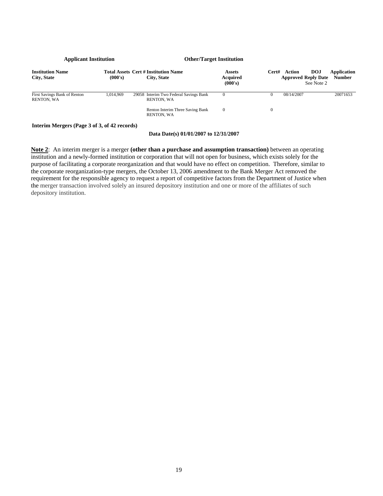| <b>Applicant Institution</b>               |                                           |        | <b>Other/Target Institution</b>                            |                                             |       |            |                                                        |                              |
|--------------------------------------------|-------------------------------------------|--------|------------------------------------------------------------|---------------------------------------------|-------|------------|--------------------------------------------------------|------------------------------|
| <b>Institution Name</b><br>City, State     | (000's)                                   |        | <b>Total Assets Cert # Institution Name</b><br>City, State | <b>Assets</b><br><b>Acquired</b><br>(000's) | Cert# | Action     | <b>DOJ</b><br><b>Approved Reply Date</b><br>See Note 2 | Application<br><b>Number</b> |
| First Savings Bank of Renton<br>RENTON, WA | 1.014.969                                 |        | 29058 Interim Two Federal Savings Bank<br>RENTON, WA       | $\Omega$                                    | 0     | 08/14/2007 |                                                        | 20071653                     |
|                                            |                                           |        | Renton Interim Three Saving Bank<br>RENTON, WA             | $\mathbf{0}$                                | 0     |            |                                                        |                              |
| - - - --                                   | $\sim$ $\sim$ $\sim$ $\sim$ $\sim$ $\sim$ | $\sim$ |                                                            |                                             |       |            |                                                        |                              |

### **Interim Mergers (Page 3 of 3, of 42 records)**

### **Data Date(s) 01/01/2007 to 12/31/2007**

**Note 2**: An interim merger is a merger **(other than a purchase and assumption transaction)** between an operating institution and a newly-formed institution or corporation that will not open for business, which exists solely for the purpose of facilitating a corporate reorganization and that would have no effect on competition. Therefore, similar to the corporate reorganization-type mergers, the October 13, 2006 amendment to the Bank Merger Act removed the requirement for the responsible agency to request a report of competitive factors from the Department of Justice when the merger transaction involved solely an insured depository institution and one or more of the affiliates of such depository institution.